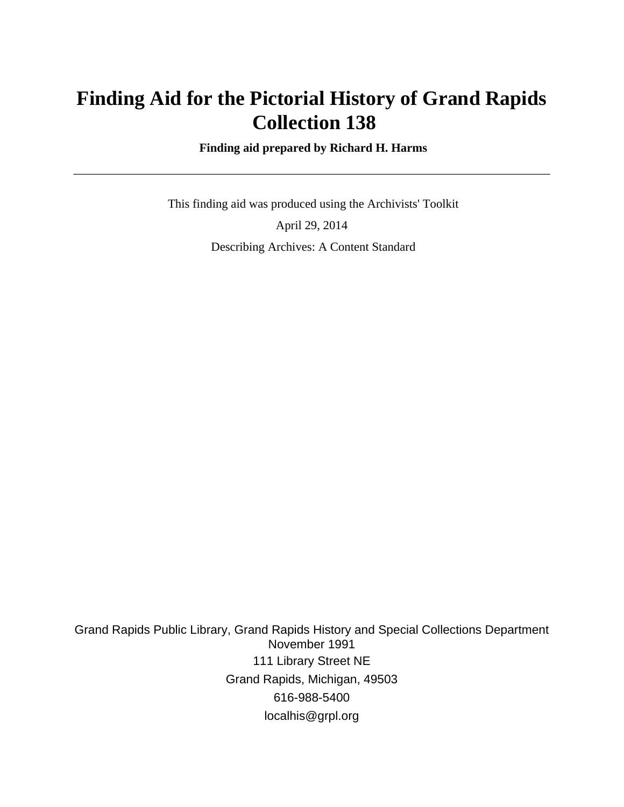# **Finding Aid for the Pictorial History of Grand Rapids Collection 138**

 **Finding aid prepared by Richard H. Harms**

 This finding aid was produced using the Archivists' Toolkit April 29, 2014 Describing Archives: A Content Standard

Grand Rapids Public Library, Grand Rapids History and Special Collections Department November 1991 111 Library Street NE Grand Rapids, Michigan, 49503 616-988-5400 localhis@grpl.org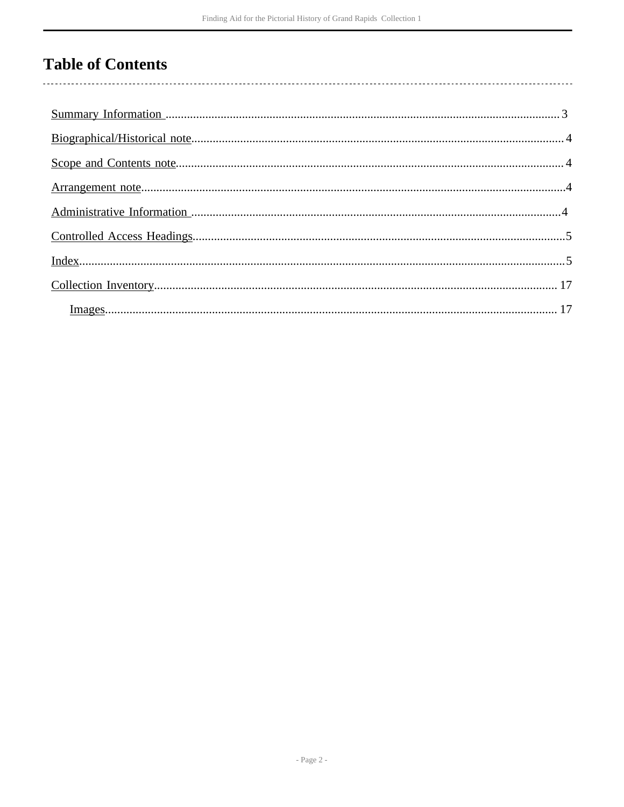## **Table of Contents**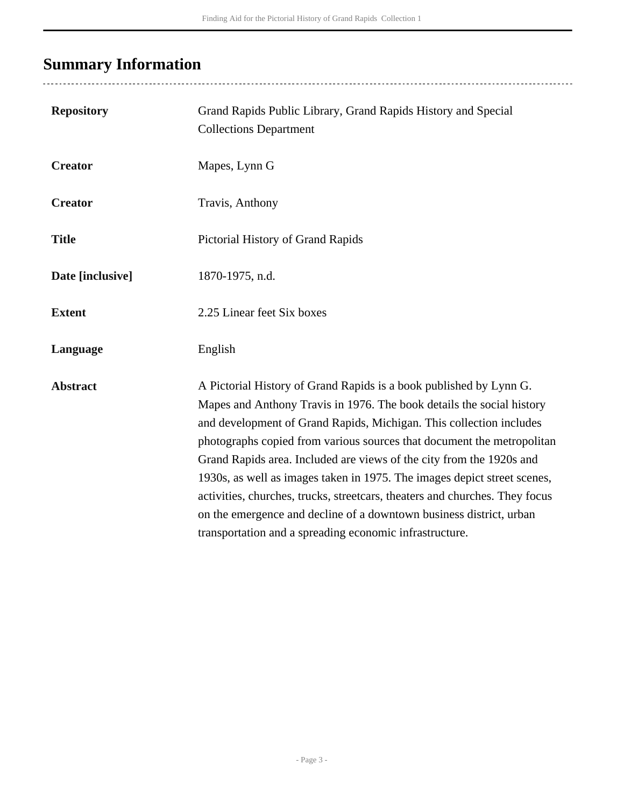# <span id="page-2-0"></span>**Summary Information**

| <b>Repository</b> | Grand Rapids Public Library, Grand Rapids History and Special<br><b>Collections Department</b>                                                                                                                                                                                                                                                                                                                                                                                                                                                                                                                                                                    |
|-------------------|-------------------------------------------------------------------------------------------------------------------------------------------------------------------------------------------------------------------------------------------------------------------------------------------------------------------------------------------------------------------------------------------------------------------------------------------------------------------------------------------------------------------------------------------------------------------------------------------------------------------------------------------------------------------|
| <b>Creator</b>    | Mapes, Lynn G                                                                                                                                                                                                                                                                                                                                                                                                                                                                                                                                                                                                                                                     |
| <b>Creator</b>    | Travis, Anthony                                                                                                                                                                                                                                                                                                                                                                                                                                                                                                                                                                                                                                                   |
| <b>Title</b>      | Pictorial History of Grand Rapids                                                                                                                                                                                                                                                                                                                                                                                                                                                                                                                                                                                                                                 |
| Date [inclusive]  | 1870-1975, n.d.                                                                                                                                                                                                                                                                                                                                                                                                                                                                                                                                                                                                                                                   |
| <b>Extent</b>     | 2.25 Linear feet Six boxes                                                                                                                                                                                                                                                                                                                                                                                                                                                                                                                                                                                                                                        |
| Language          | English                                                                                                                                                                                                                                                                                                                                                                                                                                                                                                                                                                                                                                                           |
| <b>Abstract</b>   | A Pictorial History of Grand Rapids is a book published by Lynn G.<br>Mapes and Anthony Travis in 1976. The book details the social history<br>and development of Grand Rapids, Michigan. This collection includes<br>photographs copied from various sources that document the metropolitan<br>Grand Rapids area. Included are views of the city from the 1920s and<br>1930s, as well as images taken in 1975. The images depict street scenes,<br>activities, churches, trucks, streetcars, theaters and churches. They focus<br>on the emergence and decline of a downtown business district, urban<br>transportation and a spreading economic infrastructure. |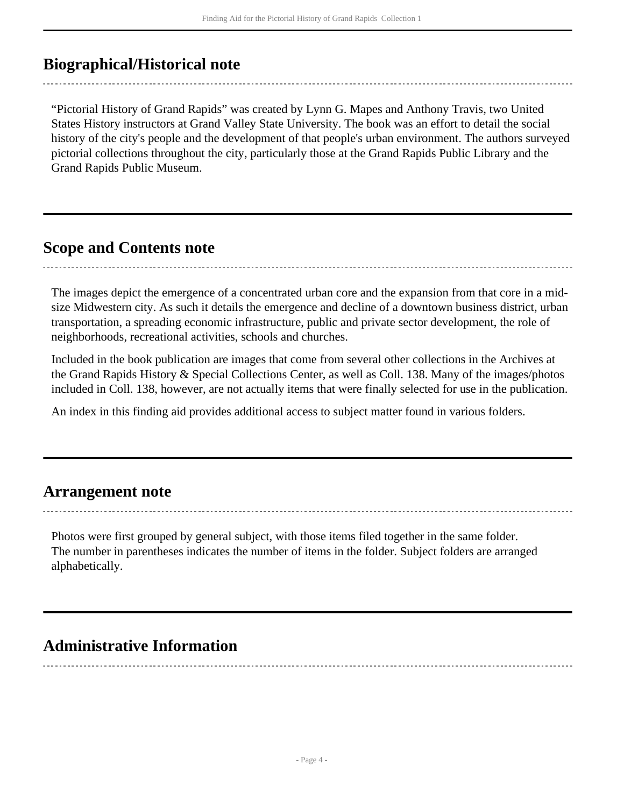## <span id="page-3-0"></span>**Biographical/Historical note**

"Pictorial History of Grand Rapids" was created by Lynn G. Mapes and Anthony Travis, two United States History instructors at Grand Valley State University. The book was an effort to detail the social history of the city's people and the development of that people's urban environment. The authors surveyed pictorial collections throughout the city, particularly those at the Grand Rapids Public Library and the Grand Rapids Public Museum.

### <span id="page-3-1"></span>**Scope and Contents note**

The images depict the emergence of a concentrated urban core and the expansion from that core in a midsize Midwestern city. As such it details the emergence and decline of a downtown business district, urban transportation, a spreading economic infrastructure, public and private sector development, the role of neighborhoods, recreational activities, schools and churches.

Included in the book publication are images that come from several other collections in the Archives at the Grand Rapids History & Special Collections Center, as well as Coll. 138. Many of the images/photos included in Coll. 138, however, are not actually items that were finally selected for use in the publication.

An index in this finding aid provides additional access to subject matter found in various folders.

### <span id="page-3-2"></span>**Arrangement note**

Photos were first grouped by general subject, with those items filed together in the same folder. The number in parentheses indicates the number of items in the folder. Subject folders are arranged alphabetically.

## <span id="page-3-3"></span>**Administrative Information**

- Page 4 -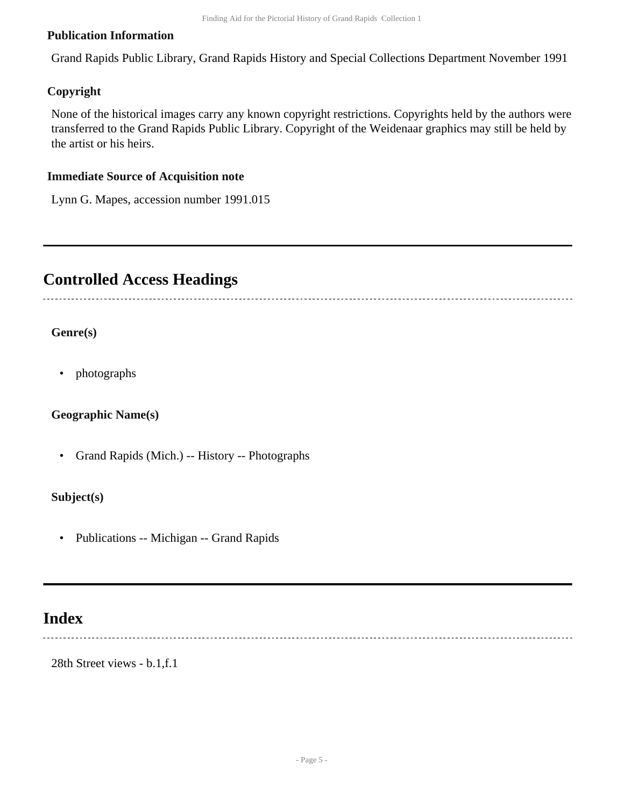#### **Publication Information**

Grand Rapids Public Library, Grand Rapids History and Special Collections Department November 1991

#### **Copyright**

None of the historical images carry any known copyright restrictions. Copyrights held by the authors were transferred to the Grand Rapids Public Library. Copyright of the Weidenaar graphics may still be held by the artist or his heirs.

#### **Immediate Source of Acquisition note**

Lynn G. Mapes, accession number 1991.015

## <span id="page-4-0"></span>**Controlled Access Headings**

#### **Genre(s)**

• photographs

#### **Geographic Name(s)**

• Grand Rapids (Mich.) -- History -- Photographs

#### **Subject(s)**

• Publications -- Michigan -- Grand Rapids

## <span id="page-4-1"></span>**Index**

28th Street views - b.1,f.1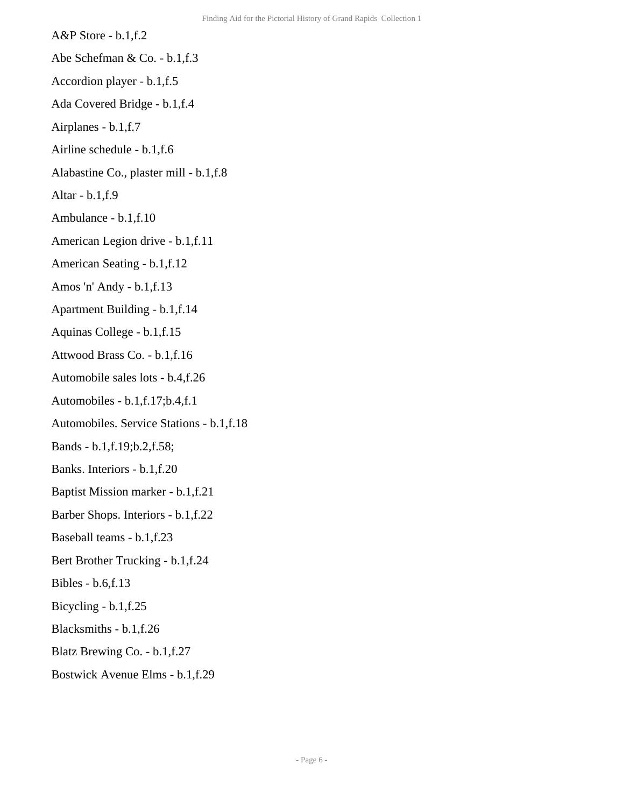- A&P Store b.1,f.2
- Abe Schefman & Co. b.1,f.3
- Accordion player b.1,f.5
- Ada Covered Bridge b.1,f.4
- Airplanes b.1,f.7
- Airline schedule b.1,f.6
- Alabastine Co., plaster mill b.1,f.8
- Altar b.1,f.9
- Ambulance b.1,f.10
- American Legion drive b.1,f.11
- American Seating b.1,f.12
- Amos 'n' Andy b.1,f.13
- Apartment Building b.1,f.14
- Aquinas College b.1,f.15
- Attwood Brass Co. b.1,f.16
- Automobile sales lots b.4,f.26
- Automobiles b.1,f.17;b.4,f.1
- Automobiles. Service Stations b.1,f.18
- Bands b.1,f.19;b.2,f.58;
- Banks. Interiors b.1,f.20
- Baptist Mission marker b.1,f.21
- Barber Shops. Interiors b.1,f.22
- Baseball teams b.1,f.23
- Bert Brother Trucking b.1,f.24
- Bibles b.6,f.13
- Bicycling b.1,f.25
- Blacksmiths b.1,f.26
- Blatz Brewing Co. b.1,f.27
- Bostwick Avenue Elms b.1,f.29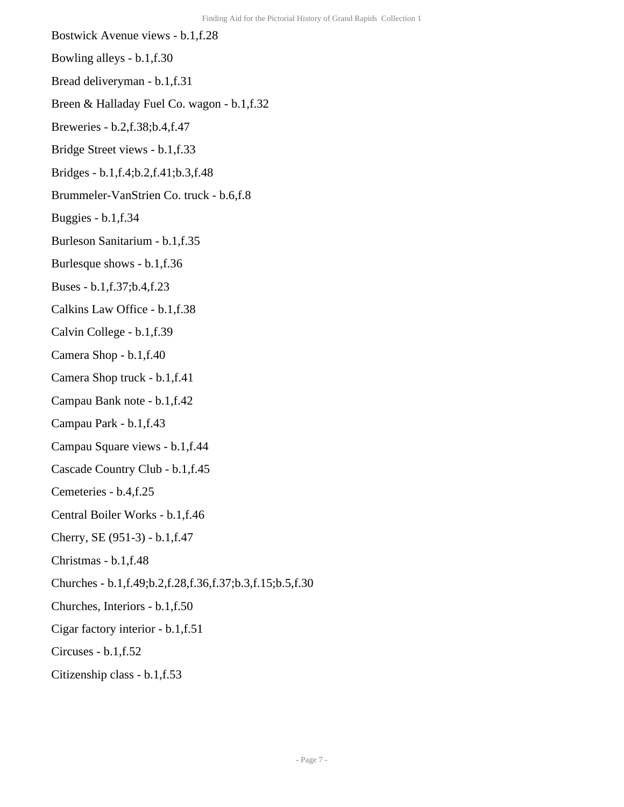- Bostwick Avenue views b.1,f.28
- Bowling alleys b.1,f.30
- Bread deliveryman b.1,f.31
- Breen & Halladay Fuel Co. wagon b.1,f.32
- Breweries b.2,f.38;b.4,f.47
- Bridge Street views b.1,f.33
- Bridges b.1,f.4;b.2,f.41;b.3,f.48
- Brummeler-VanStrien Co. truck b.6,f.8
- Buggies b.1,f.34
- Burleson Sanitarium b.1,f.35
- Burlesque shows b.1,f.36
- Buses b.1,f.37;b.4,f.23
- Calkins Law Office b.1,f.38
- Calvin College b.1,f.39
- Camera Shop b.1,f.40
- Camera Shop truck b.1,f.41
- Campau Bank note b.1,f.42
- Campau Park b.1,f.43
- Campau Square views b.1,f.44
- Cascade Country Club b.1,f.45
- Cemeteries b.4,f.25
- Central Boiler Works b.1,f.46
- Cherry, SE (951-3) b.1,f.47
- Christmas b.1,f.48
- Churches b.1,f.49;b.2,f.28,f.36,f.37;b.3,f.15;b.5,f.30
- Churches, Interiors b.1,f.50
- Cigar factory interior b.1,f.51
- Circuses b.1,f.52
- Citizenship class b.1,f.53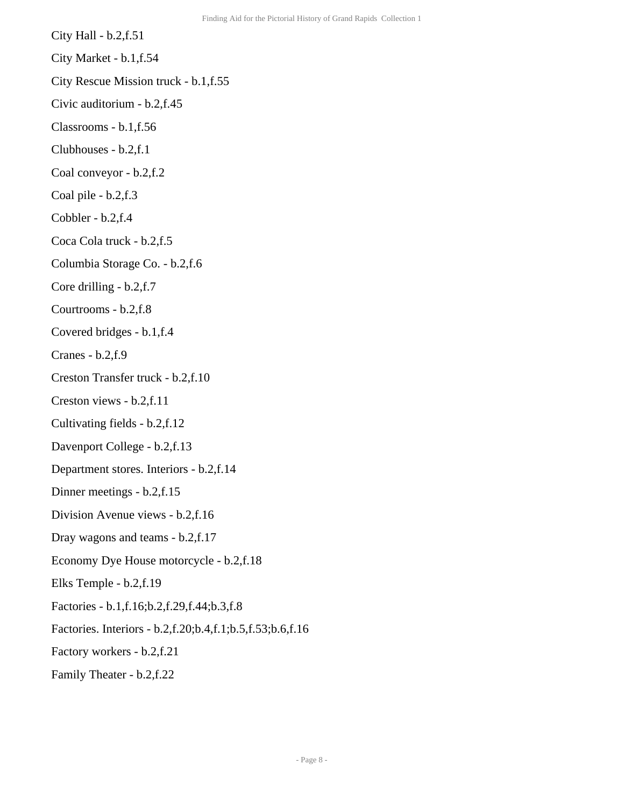- City Hall b.2,f.51 City Market - b.1,f.54 City Rescue Mission truck - b.1,f.55 Civic auditorium - b.2,f.45 Classrooms - b.1,f.56 Clubhouses - b.2,f.1
	- Coal conveyor b.2,f.2
	- Coal pile b.2,f.3
	- Cobbler b.2,f.4
	- Coca Cola truck b.2,f.5
	- Columbia Storage Co. b.2,f.6
	- Core drilling b.2,f.7
	- Courtrooms b.2,f.8
	- Covered bridges b.1,f.4
	- Cranes b.2,f.9
	- Creston Transfer truck b.2,f.10
	- Creston views b.2,f.11
	- Cultivating fields b.2,f.12
	- Davenport College b.2,f.13
	- Department stores. Interiors b.2,f.14
	- Dinner meetings b.2,f.15
	- Division Avenue views b.2,f.16
	- Dray wagons and teams b.2,f.17
	- Economy Dye House motorcycle b.2,f.18
	- Elks Temple b.2,f.19
	- Factories b.1,f.16;b.2,f.29,f.44;b.3,f.8
	- Factories. Interiors b.2,f.20;b.4,f.1;b.5,f.53;b.6,f.16
	- Factory workers b.2,f.21
	- Family Theater b.2,f.22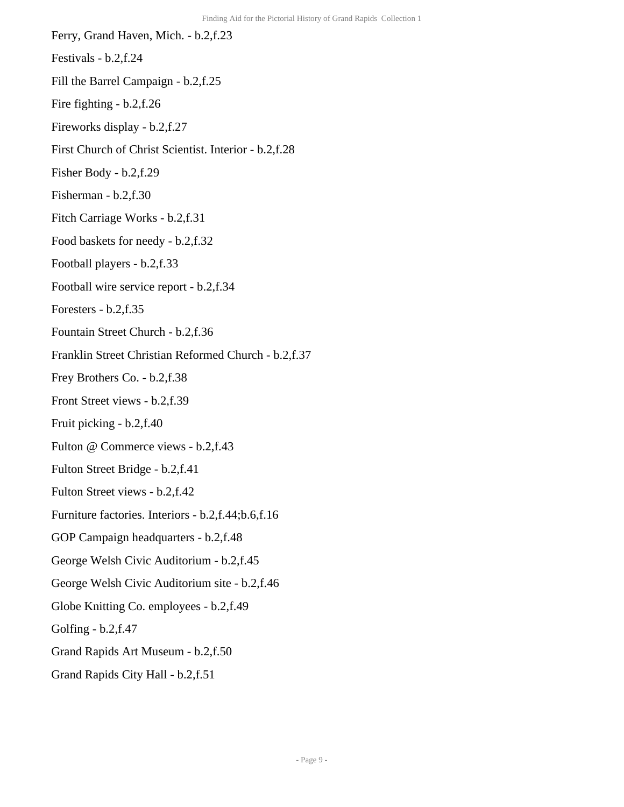Ferry, Grand Haven, Mich. - b.2,f.23 Festivals - b.2,f.24 Fill the Barrel Campaign - b.2,f.25 Fire fighting - b.2,f.26 Fireworks display - b.2,f.27 First Church of Christ Scientist. Interior - b.2,f.28 Fisher Body - b.2,f.29 Fisherman - b.2,f.30 Fitch Carriage Works - b.2,f.31 Food baskets for needy - b.2,f.32 Football players - b.2,f.33 Football wire service report - b.2,f.34 Foresters - b.2,f.35 Fountain Street Church - b.2,f.36 Franklin Street Christian Reformed Church - b.2,f.37 Frey Brothers Co. - b.2,f.38 Front Street views - b.2,f.39 Fruit picking - b.2,f.40 Fulton @ Commerce views - b.2,f.43 Fulton Street Bridge - b.2,f.41 Fulton Street views - b.2,f.42 Furniture factories. Interiors - b.2,f.44;b.6,f.16 GOP Campaign headquarters - b.2,f.48 George Welsh Civic Auditorium - b.2,f.45 George Welsh Civic Auditorium site - b.2,f.46 Globe Knitting Co. employees - b.2,f.49 Golfing - b.2,f.47 Grand Rapids Art Museum - b.2,f.50 Grand Rapids City Hall - b.2,f.51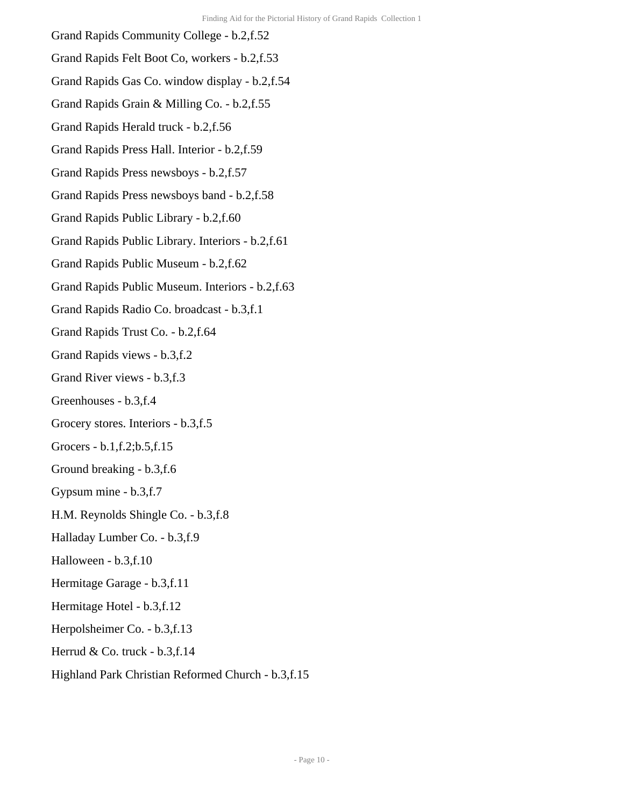- Grand Rapids Community College b.2,f.52 Grand Rapids Felt Boot Co, workers - b.2,f.53 Grand Rapids Gas Co. window display - b.2,f.54 Grand Rapids Grain & Milling Co. - b.2,f.55 Grand Rapids Herald truck - b.2,f.56 Grand Rapids Press Hall. Interior - b.2,f.59 Grand Rapids Press newsboys - b.2,f.57 Grand Rapids Press newsboys band - b.2,f.58 Grand Rapids Public Library - b.2,f.60 Grand Rapids Public Library. Interiors - b.2,f.61 Grand Rapids Public Museum - b.2,f.62 Grand Rapids Public Museum. Interiors - b.2,f.63 Grand Rapids Radio Co. broadcast - b.3,f.1 Grand Rapids Trust Co. - b.2,f.64 Grand Rapids views - b.3,f.2 Grand River views - b.3,f.3 Greenhouses - b.3,f.4 Grocery stores. Interiors - b.3,f.5 Grocers - b.1,f.2;b.5,f.15 Ground breaking - b.3,f.6 Gypsum mine - b.3,f.7 H.M. Reynolds Shingle Co. - b.3,f.8 Halladay Lumber Co. - b.3,f.9 Halloween - b.3,f.10 Hermitage Garage - b.3,f.11 Hermitage Hotel - b.3,f.12 Herpolsheimer Co. - b.3,f.13 Herrud & Co. truck - b.3,f.14
- Highland Park Christian Reformed Church b.3,f.15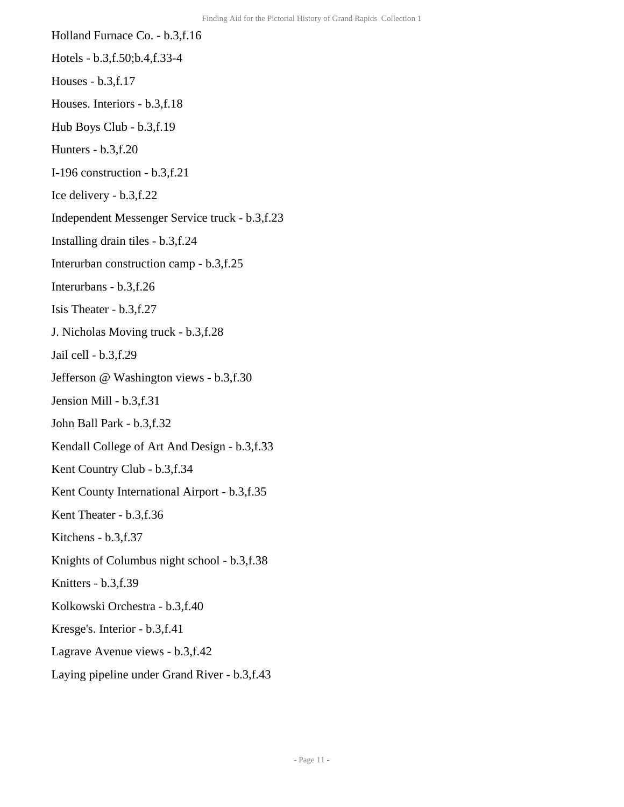- Holland Furnace Co. b.3,f.16 Hotels - b.3,f.50;b.4,f.33-4
- Houses b.3,f.17
- Houses. Interiors b.3,f.18
- Hub Boys Club b.3,f.19
- Hunters b.3,f.20
- I-196 construction b.3,f.21
- Ice delivery b.3,f.22
- Independent Messenger Service truck b.3,f.23
- Installing drain tiles b.3,f.24
- Interurban construction camp b.3,f.25
- Interurbans b.3,f.26
- Isis Theater b.3,f.27
- J. Nicholas Moving truck b.3,f.28
- Jail cell b.3,f.29
- Jefferson @ Washington views b.3,f.30
- Jension Mill b.3,f.31
- John Ball Park b.3,f.32
- Kendall College of Art And Design b.3,f.33
- Kent Country Club b.3,f.34
- Kent County International Airport b.3,f.35
- Kent Theater b.3,f.36
- Kitchens b.3,f.37
- Knights of Columbus night school b.3,f.38
- Knitters b.3,f.39
- Kolkowski Orchestra b.3,f.40
- Kresge's. Interior b.3,f.41
- Lagrave Avenue views b.3,f.42
- Laying pipeline under Grand River b.3,f.43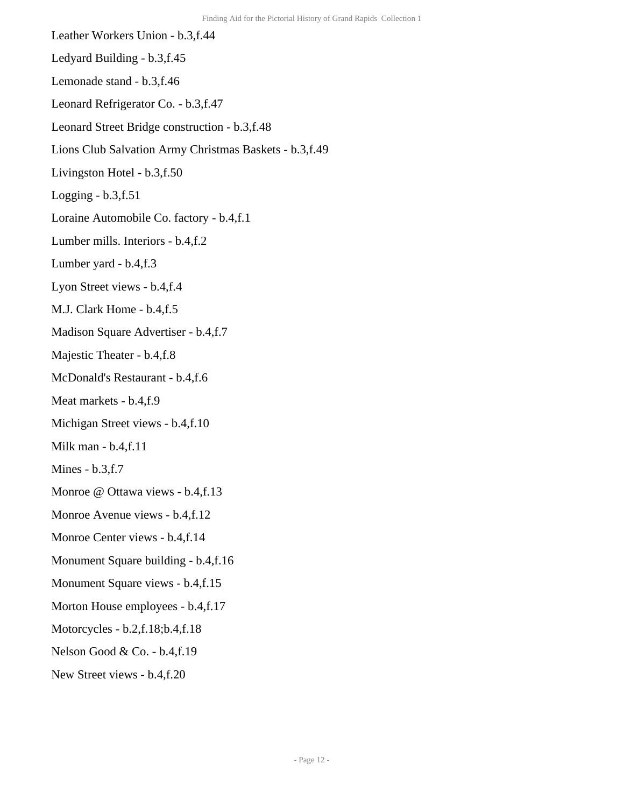Leather Workers Union - b.3,f.44 Ledyard Building - b.3,f.45 Lemonade stand - b.3,f.46 Leonard Refrigerator Co. - b.3,f.47 Leonard Street Bridge construction - b.3,f.48 Lions Club Salvation Army Christmas Baskets - b.3,f.49 Livingston Hotel - b.3,f.50 Logging  $- b.3$ , f. 51 Loraine Automobile Co. factory - b.4,f.1 Lumber mills. Interiors - b.4,f.2 Lumber yard - b.4,f.3 Lyon Street views - b.4,f.4 M.J. Clark Home - b.4,f.5 Madison Square Advertiser - b.4,f.7 Majestic Theater - b.4,f.8 McDonald's Restaurant - b.4,f.6 Meat markets - b.4,f.9 Michigan Street views - b.4,f.10 Milk man - b.4,f.11 Mines - b.3,f.7 Monroe @ Ottawa views - b.4,f.13 Monroe Avenue views - b.4,f.12 Monroe Center views - b.4,f.14 Monument Square building - b.4,f.16 Monument Square views - b.4,f.15 Morton House employees - b.4,f.17 Motorcycles - b.2,f.18;b.4,f.18 Nelson Good & Co. - b.4,f.19 New Street views - b.4,f.20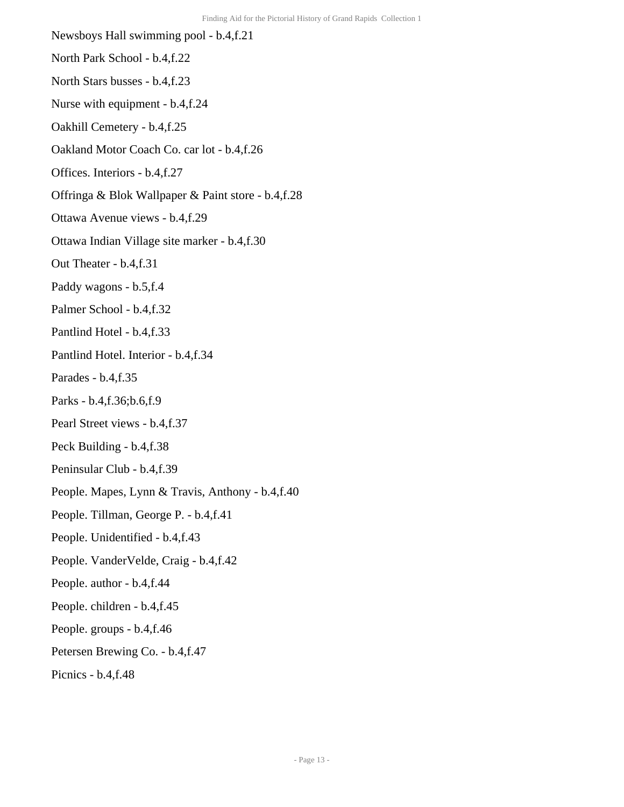Newsboys Hall swimming pool - b.4,f.21 North Park School - b.4,f.22 North Stars busses - b.4,f.23 Nurse with equipment - b.4,f.24 Oakhill Cemetery - b.4,f.25 Oakland Motor Coach Co. car lot - b.4,f.26 Offices. Interiors - b.4,f.27 Offringa & Blok Wallpaper & Paint store - b.4,f.28 Ottawa Avenue views - b.4,f.29 Ottawa Indian Village site marker - b.4,f.30 Out Theater - b.4,f.31 Paddy wagons - b.5,f.4 Palmer School - b.4,f.32 Pantlind Hotel - b.4,f.33 Pantlind Hotel. Interior - b.4,f.34 Parades - b.4,f.35 Parks - b.4,f.36;b.6,f.9 Pearl Street views - b.4,f.37 Peck Building - b.4,f.38 Peninsular Club - b.4,f.39 People. Mapes, Lynn & Travis, Anthony - b.4,f.40 People. Tillman, George P. - b.4,f.41 People. Unidentified - b.4,f.43 People. VanderVelde, Craig - b.4,f.42 People. author - b.4,f.44 People. children - b.4,f.45 People. groups - b.4,f.46 Petersen Brewing Co. - b.4,f.47 Picnics - b.4,f.48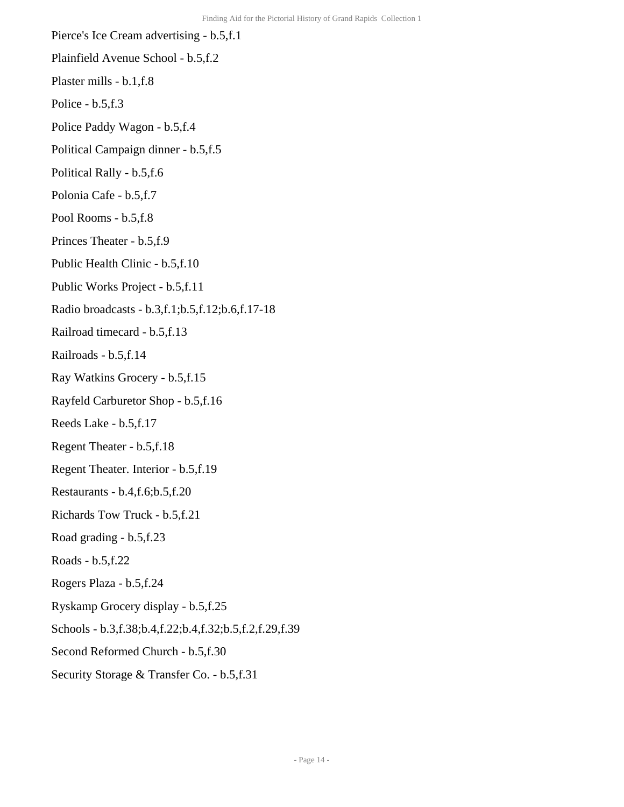Pierce's Ice Cream advertising - b.5,f.1 Plainfield Avenue School - b.5,f.2 Plaster mills - b.1,f.8 Police - b.5,f.3 Police Paddy Wagon - b.5,f.4 Political Campaign dinner - b.5,f.5 Political Rally - b.5,f.6 Polonia Cafe - b.5,f.7 Pool Rooms - b.5,f.8 Princes Theater - b.5,f.9 Public Health Clinic - b.5,f.10 Public Works Project - b.5,f.11 Radio broadcasts - b.3,f.1;b.5,f.12;b.6,f.17-18 Railroad timecard - b.5,f.13 Railroads - b.5,f.14 Ray Watkins Grocery - b.5,f.15 Rayfeld Carburetor Shop - b.5,f.16 Reeds Lake - b.5,f.17 Regent Theater - b.5,f.18 Regent Theater. Interior - b.5,f.19 Restaurants - b.4,f.6;b.5,f.20 Richards Tow Truck - b.5,f.21 Road grading - b.5,f.23 Roads - b.5,f.22 Rogers Plaza - b.5,f.24 Ryskamp Grocery display - b.5,f.25 Schools - b.3,f.38;b.4,f.22;b.4,f.32;b.5,f.2,f.29,f.39 Second Reformed Church - b.5,f.30 Security Storage & Transfer Co. - b.5,f.31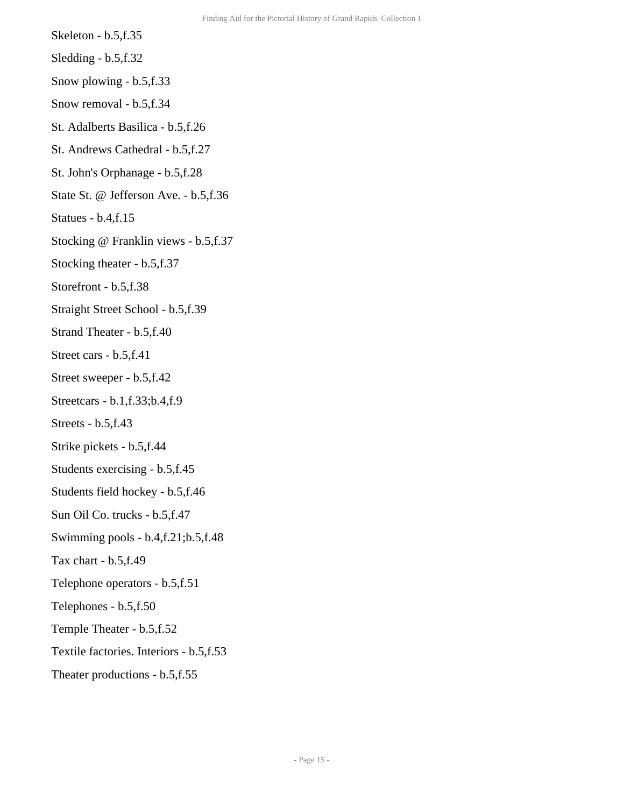- Skeleton b.5,f.35
- Sledding b.5,f.32
- Snow plowing b.5,f.33
- Snow removal b.5,f.34
- St. Adalberts Basilica b.5,f.26
- St. Andrews Cathedral b.5,f.27
- St. John's Orphanage b.5,f.28
- State St. @ Jefferson Ave. b.5,f.36
- Statues b.4,f.15
- Stocking @ Franklin views b.5,f.37
- Stocking theater b.5,f.37
- Storefront b.5,f.38
- Straight Street School b.5,f.39
- Strand Theater b.5,f.40
- Street cars b.5,f.41
- Street sweeper b.5,f.42
- Streetcars b.1,f.33;b.4,f.9
- Streets b.5,f.43
- Strike pickets b.5,f.44
- Students exercising b.5,f.45
- Students field hockey b.5,f.46
- Sun Oil Co. trucks b.5,f.47
- Swimming pools b.4,f.21;b.5,f.48
- Tax chart b.5,f.49
- Telephone operators b.5,f.51
- Telephones b.5,f.50
- Temple Theater b.5,f.52
- Textile factories. Interiors b.5,f.53
- Theater productions b.5,f.55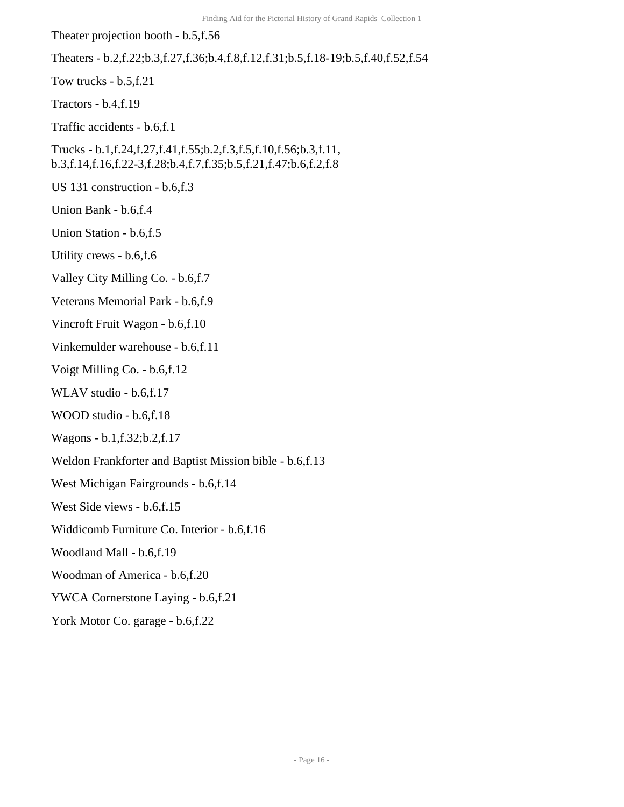Theater projection booth - b.5,f.56 Theaters - b.2,f.22;b.3,f.27,f.36;b.4,f.8,f.12,f.31;b.5,f.18-19;b.5,f.40,f.52,f.54 Tow trucks - b.5,f.21 Tractors - b.4,f.19 Traffic accidents - b.6,f.1 Trucks - b.1,f.24,f.27,f.41,f.55;b.2,f.3,f.5,f.10,f.56;b.3,f.11, b.3,f.14,f.16,f.22-3,f.28;b.4,f.7,f.35;b.5,f.21,f.47;b.6,f.2,f.8 US 131 construction - b.6,f.3 Union Bank - b.6,f.4 Union Station - b.6,f.5 Utility crews - b.6,f.6 Valley City Milling Co. - b.6,f.7 Veterans Memorial Park - b.6,f.9 Vincroft Fruit Wagon - b.6,f.10 Vinkemulder warehouse - b.6,f.11 Voigt Milling Co. - b.6,f.12 WLAV studio - b.6,f.17 WOOD studio - b.6,f.18 Wagons - b.1,f.32;b.2,f.17 Weldon Frankforter and Baptist Mission bible - b.6,f.13 West Michigan Fairgrounds - b.6,f.14 West Side views - b.6,f.15 Widdicomb Furniture Co. Interior - b.6,f.16 Woodland Mall - b.6,f.19 Woodman of America - b.6,f.20 YWCA Cornerstone Laying - b.6,f.21 York Motor Co. garage - b.6,f.22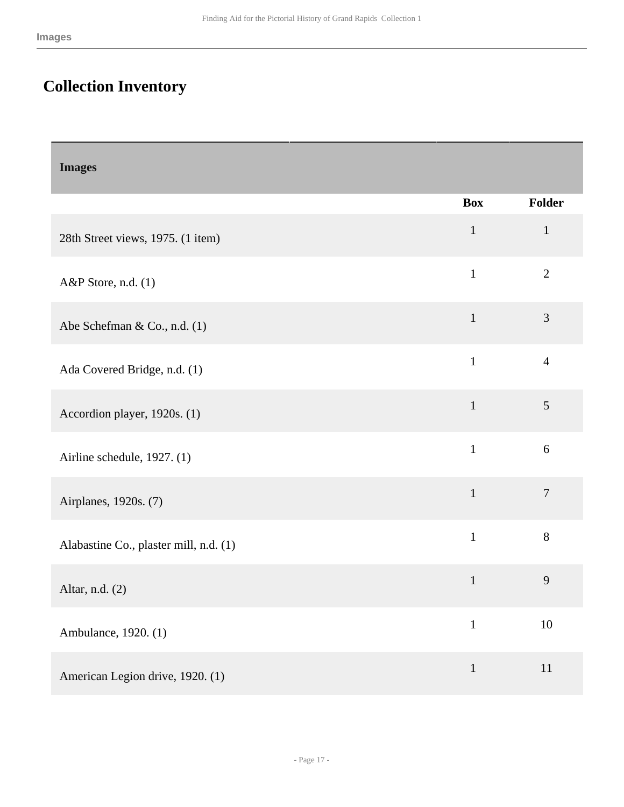# <span id="page-16-0"></span>**Collection Inventory**

<span id="page-16-1"></span>

| <b>Images</b>                          |              |                |
|----------------------------------------|--------------|----------------|
|                                        | <b>Box</b>   | Folder         |
| 28th Street views, 1975. (1 item)      | $\mathbf{1}$ | $\mathbf{1}$   |
| A&P Store, n.d. (1)                    | $\mathbf{1}$ | $\mathbf{2}$   |
| Abe Schefman & Co., n.d. (1)           | $\mathbf{1}$ | 3              |
| Ada Covered Bridge, n.d. (1)           | $\mathbf{1}$ | $\overline{4}$ |
| Accordion player, 1920s. (1)           | $\mathbf{1}$ | 5              |
| Airline schedule, 1927. (1)            | $\mathbf{1}$ | 6              |
| Airplanes, 1920s. (7)                  | $\mathbf{1}$ | $\overline{7}$ |
| Alabastine Co., plaster mill, n.d. (1) | $\mathbf{1}$ | $8\,$          |
| Altar, n.d. (2)                        | $\mathbf{1}$ | 9              |
| Ambulance, 1920. (1)                   | $\mathbf{1}$ | $10\,$         |
| American Legion drive, 1920. (1)       | $\mathbf{1}$ | $11\,$         |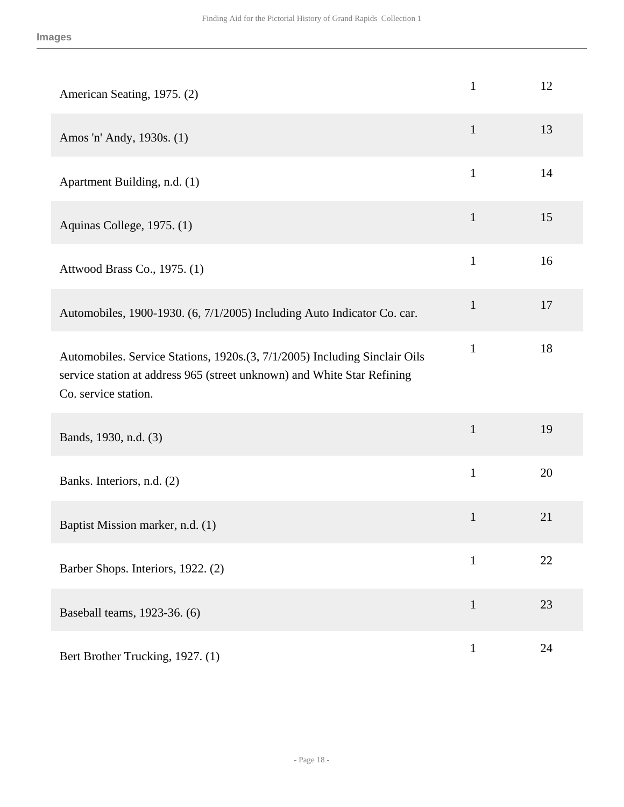| American Seating, 1975. (2)                                                                                                                                                   | $\mathbf{1}$ | 12 |
|-------------------------------------------------------------------------------------------------------------------------------------------------------------------------------|--------------|----|
| Amos 'n' Andy, 1930s. (1)                                                                                                                                                     | $\mathbf{1}$ | 13 |
| Apartment Building, n.d. (1)                                                                                                                                                  | $\mathbf{1}$ | 14 |
| Aquinas College, 1975. (1)                                                                                                                                                    | $\mathbf{1}$ | 15 |
| Attwood Brass Co., 1975. (1)                                                                                                                                                  | $\mathbf{1}$ | 16 |
| Automobiles, 1900-1930. (6, 7/1/2005) Including Auto Indicator Co. car.                                                                                                       | $\mathbf{1}$ | 17 |
| Automobiles. Service Stations, 1920s.(3, 7/1/2005) Including Sinclair Oils<br>service station at address 965 (street unknown) and White Star Refining<br>Co. service station. | $\mathbf{1}$ | 18 |
| Bands, 1930, n.d. (3)                                                                                                                                                         | $\mathbf{1}$ | 19 |
| Banks. Interiors, n.d. (2)                                                                                                                                                    | $\mathbf{1}$ | 20 |
| Baptist Mission marker, n.d. (1)                                                                                                                                              | $\mathbf{1}$ | 21 |
| Barber Shops. Interiors, 1922. (2)                                                                                                                                            | $\mathbf{1}$ | 22 |
| Baseball teams, 1923-36. (6)                                                                                                                                                  | $\mathbf{1}$ | 23 |
| Bert Brother Trucking, 1927. (1)                                                                                                                                              | $\mathbf{1}$ | 24 |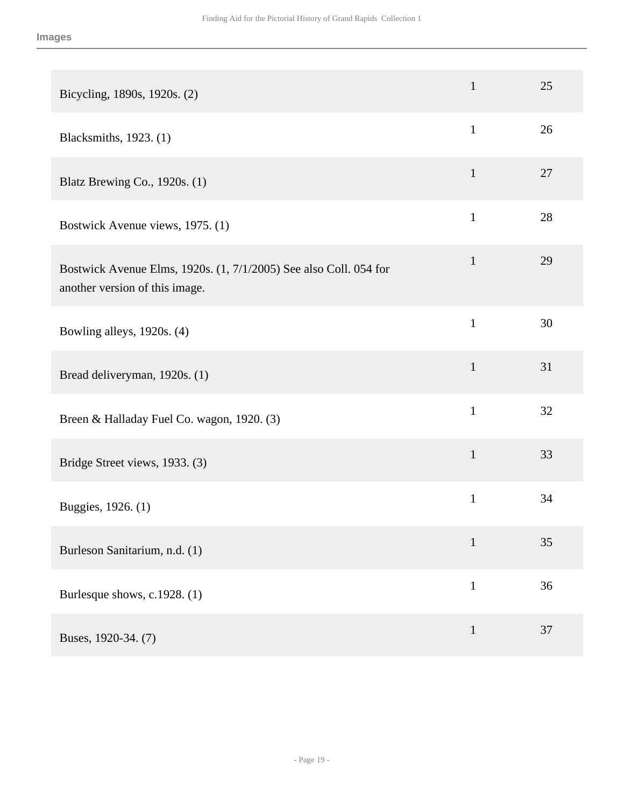| Bicycling, 1890s, 1920s. (2)                                                                        | $\mathbf{1}$ | 25 |
|-----------------------------------------------------------------------------------------------------|--------------|----|
| Blacksmiths, 1923. (1)                                                                              | $\mathbf{1}$ | 26 |
| Blatz Brewing Co., 1920s. (1)                                                                       | $\mathbf{1}$ | 27 |
| Bostwick Avenue views, 1975. (1)                                                                    | $\mathbf{1}$ | 28 |
| Bostwick Avenue Elms, 1920s. (1, 7/1/2005) See also Coll. 054 for<br>another version of this image. | $\mathbf{1}$ | 29 |
| Bowling alleys, 1920s. (4)                                                                          | $\mathbf{1}$ | 30 |
| Bread deliveryman, 1920s. (1)                                                                       | $\mathbf{1}$ | 31 |
| Breen & Halladay Fuel Co. wagon, 1920. (3)                                                          | $\mathbf{1}$ | 32 |
| Bridge Street views, 1933. (3)                                                                      | $\mathbf{1}$ | 33 |
| Buggies, 1926. (1)                                                                                  | $\mathbf{1}$ | 34 |
| Burleson Sanitarium, n.d. (1)                                                                       | $\mathbf{1}$ | 35 |
| Burlesque shows, c.1928. (1)                                                                        | $\mathbf{1}$ | 36 |
| Buses, 1920-34. (7)                                                                                 | $\mathbf{1}$ | 37 |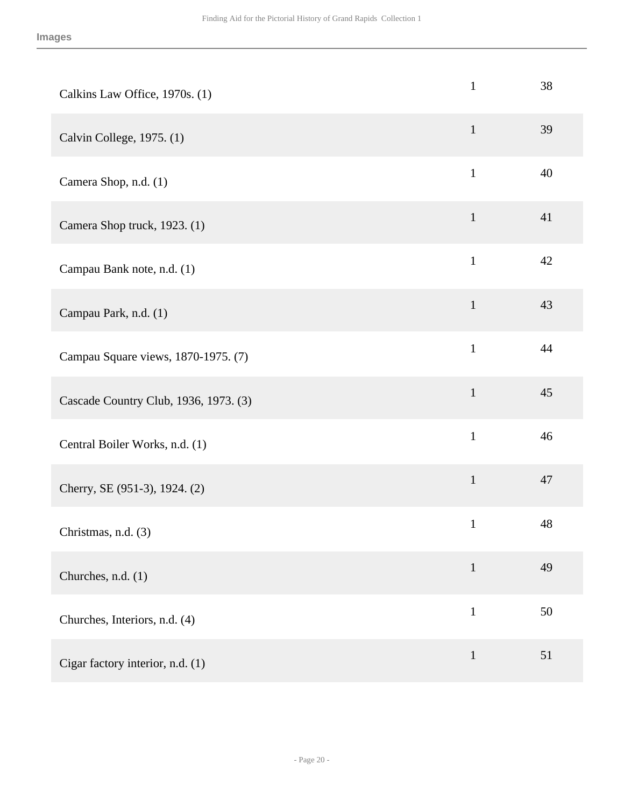| Calkins Law Office, 1970s. (1)        | $\mathbf{1}$ | 38 |
|---------------------------------------|--------------|----|
| Calvin College, 1975. (1)             | $\mathbf{1}$ | 39 |
| Camera Shop, n.d. (1)                 | $\mathbf{1}$ | 40 |
| Camera Shop truck, 1923. (1)          | $\mathbf{1}$ | 41 |
| Campau Bank note, n.d. (1)            | $\mathbf{1}$ | 42 |
| Campau Park, n.d. (1)                 | $\mathbf{1}$ | 43 |
| Campau Square views, 1870-1975. (7)   | $\mathbf{1}$ | 44 |
| Cascade Country Club, 1936, 1973. (3) | $\mathbf{1}$ | 45 |
| Central Boiler Works, n.d. (1)        | $\mathbf{1}$ | 46 |
| Cherry, SE (951-3), 1924. (2)         | $\mathbf{1}$ | 47 |
| Christmas, n.d. (3)                   | $\mathbf{1}$ | 48 |
| Churches, n.d. (1)                    | $\mathbf{1}$ | 49 |
| Churches, Interiors, n.d. (4)         | $\mathbf{1}$ | 50 |
| Cigar factory interior, n.d. (1)      | $\mathbf{1}$ | 51 |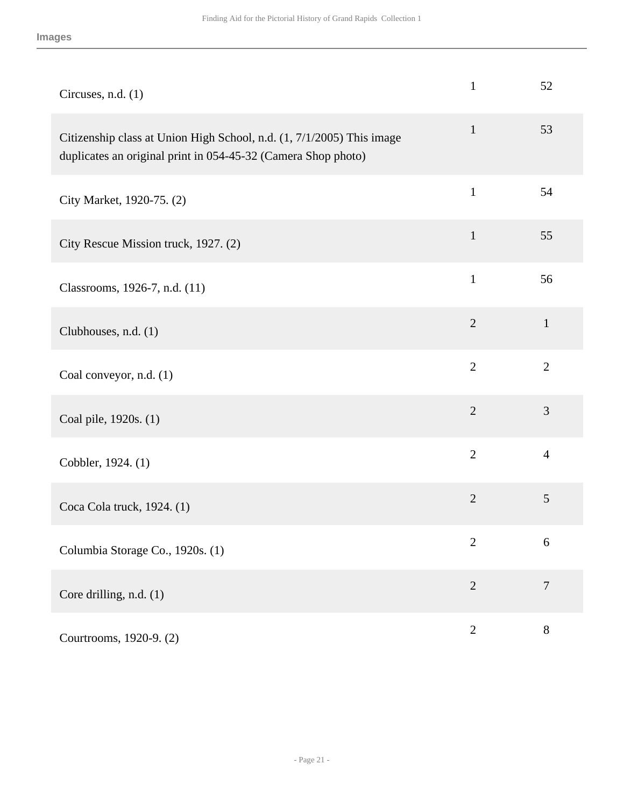| Circuses, n.d. (1)                                                                                                                     | $\mathbf{1}$   | 52             |
|----------------------------------------------------------------------------------------------------------------------------------------|----------------|----------------|
| Citizenship class at Union High School, n.d. (1, 7/1/2005) This image<br>duplicates an original print in 054-45-32 (Camera Shop photo) | $\mathbf{1}$   | 53             |
| City Market, 1920-75. (2)                                                                                                              | $\mathbf{1}$   | 54             |
| City Rescue Mission truck, 1927. (2)                                                                                                   | $\mathbf{1}$   | 55             |
| Classrooms, 1926-7, n.d. (11)                                                                                                          | $\mathbf{1}$   | 56             |
| Clubhouses, n.d. (1)                                                                                                                   | $\overline{2}$ | $\mathbf{1}$   |
| Coal conveyor, n.d. (1)                                                                                                                | $\overline{2}$ | $\overline{2}$ |
| Coal pile, 1920s. (1)                                                                                                                  | $\overline{2}$ | 3              |
| Cobbler, 1924. (1)                                                                                                                     | $\overline{2}$ | $\overline{4}$ |
| Coca Cola truck, 1924. (1)                                                                                                             | $\overline{2}$ | $\mathfrak{S}$ |
| Columbia Storage Co., 1920s. (1)                                                                                                       | $\overline{2}$ | 6              |
| Core drilling, n.d. (1)                                                                                                                | $\overline{2}$ | $\overline{7}$ |
| Courtrooms, 1920-9. (2)                                                                                                                | $\mathbf{2}$   | $8\,$          |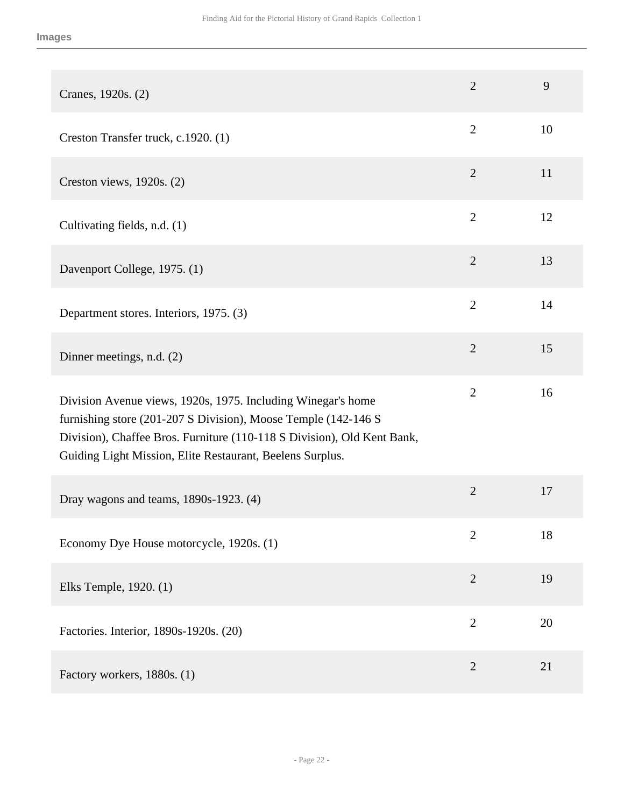| Cranes, 1920s. (2)                                                                                                                                                                                                                                                     | $\overline{2}$ | 9  |
|------------------------------------------------------------------------------------------------------------------------------------------------------------------------------------------------------------------------------------------------------------------------|----------------|----|
| Creston Transfer truck, c.1920. (1)                                                                                                                                                                                                                                    | $\overline{2}$ | 10 |
| Creston views, 1920s. (2)                                                                                                                                                                                                                                              | $\overline{2}$ | 11 |
| Cultivating fields, n.d. (1)                                                                                                                                                                                                                                           | $\overline{2}$ | 12 |
| Davenport College, 1975. (1)                                                                                                                                                                                                                                           | $\overline{2}$ | 13 |
| Department stores. Interiors, 1975. (3)                                                                                                                                                                                                                                | $\overline{2}$ | 14 |
| Dinner meetings, n.d. (2)                                                                                                                                                                                                                                              | $\overline{2}$ | 15 |
| Division Avenue views, 1920s, 1975. Including Winegar's home<br>furnishing store (201-207 S Division), Moose Temple (142-146 S<br>Division), Chaffee Bros. Furniture (110-118 S Division), Old Kent Bank,<br>Guiding Light Mission, Elite Restaurant, Beelens Surplus. | $\overline{2}$ | 16 |
| Dray wagons and teams, 1890s-1923. (4)                                                                                                                                                                                                                                 | $\overline{2}$ | 17 |
| Economy Dye House motorcycle, 1920s. (1)                                                                                                                                                                                                                               | $\overline{2}$ | 18 |
| Elks Temple, 1920. (1)                                                                                                                                                                                                                                                 | $\overline{2}$ | 19 |
| Factories. Interior, 1890s-1920s. (20)                                                                                                                                                                                                                                 | $\overline{2}$ | 20 |
| Factory workers, 1880s. (1)                                                                                                                                                                                                                                            | $\overline{2}$ | 21 |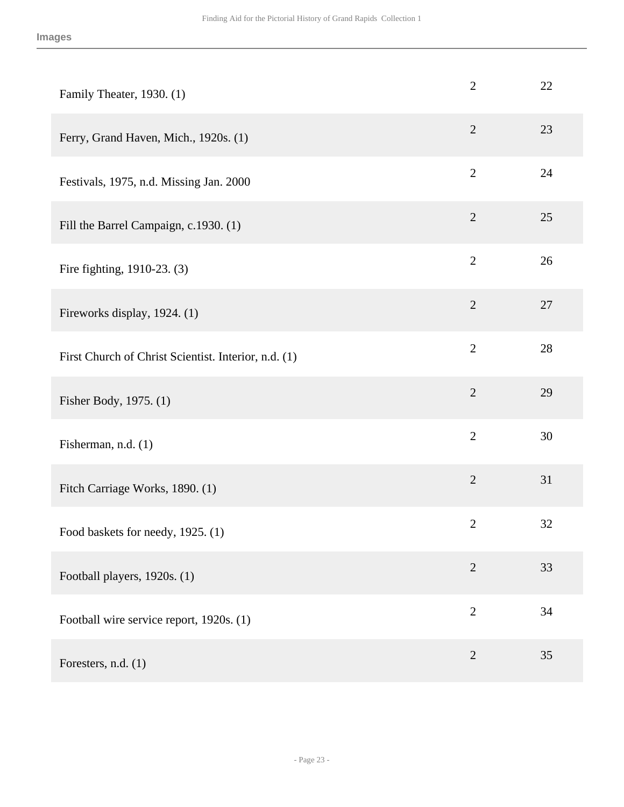| Family Theater, 1930. (1)                            | $\mathbf{2}$   | 22 |
|------------------------------------------------------|----------------|----|
| Ferry, Grand Haven, Mich., 1920s. (1)                | $\overline{2}$ | 23 |
| Festivals, 1975, n.d. Missing Jan. 2000              | $\mathbf{2}$   | 24 |
| Fill the Barrel Campaign, c.1930. (1)                | $\mathbf{2}$   | 25 |
| Fire fighting, 1910-23. (3)                          | $\overline{2}$ | 26 |
| Fireworks display, 1924. (1)                         | $\overline{2}$ | 27 |
| First Church of Christ Scientist. Interior, n.d. (1) | $\mathbf{2}$   | 28 |
| Fisher Body, 1975. (1)                               | $\overline{2}$ | 29 |
| Fisherman, n.d. (1)                                  | $\overline{2}$ | 30 |
| Fitch Carriage Works, 1890. (1)                      | $\overline{2}$ | 31 |
| Food baskets for needy, 1925. (1)                    | $\overline{2}$ | 32 |
| Football players, 1920s. (1)                         | $\overline{2}$ | 33 |
| Football wire service report, 1920s. (1)             | $\mathbf{2}$   | 34 |
| Foresters, n.d. (1)                                  | $\overline{2}$ | 35 |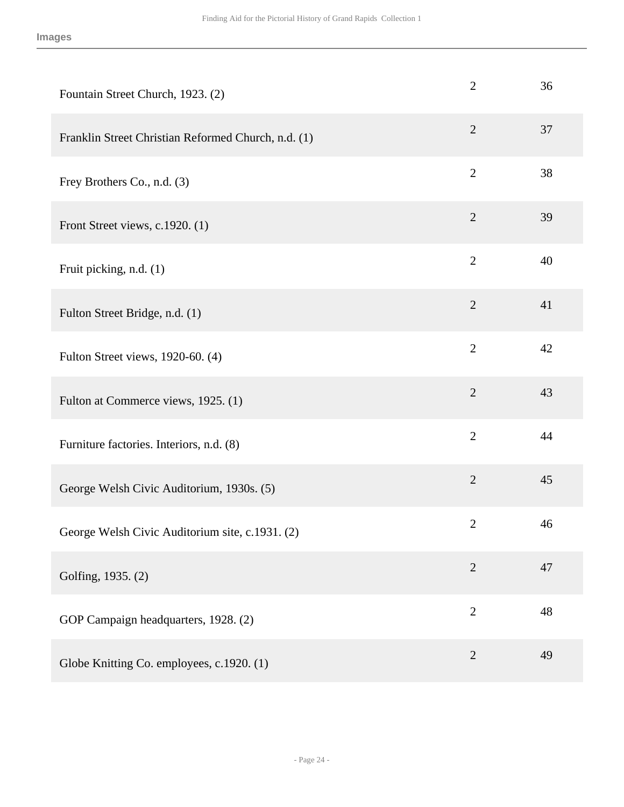| Fountain Street Church, 1923. (2)                   | $\overline{2}$ | 36 |
|-----------------------------------------------------|----------------|----|
| Franklin Street Christian Reformed Church, n.d. (1) | $\overline{2}$ | 37 |
| Frey Brothers Co., n.d. (3)                         | $\overline{2}$ | 38 |
| Front Street views, c.1920. (1)                     | $\overline{2}$ | 39 |
| Fruit picking, n.d. (1)                             | $\overline{2}$ | 40 |
| Fulton Street Bridge, n.d. (1)                      | $\overline{2}$ | 41 |
| Fulton Street views, 1920-60. (4)                   | $\overline{2}$ | 42 |
| Fulton at Commerce views, 1925. (1)                 | $\sqrt{2}$     | 43 |
| Furniture factories. Interiors, n.d. (8)            | $\overline{2}$ | 44 |
| George Welsh Civic Auditorium, 1930s. (5)           | $\mathfrak{2}$ | 45 |
| George Welsh Civic Auditorium site, c.1931. (2)     | $\overline{2}$ | 46 |
| Golfing, 1935. (2)                                  | $\overline{2}$ | 47 |
| GOP Campaign headquarters, 1928. (2)                | $\overline{2}$ | 48 |
| Globe Knitting Co. employees, c.1920. (1)           | $\overline{2}$ | 49 |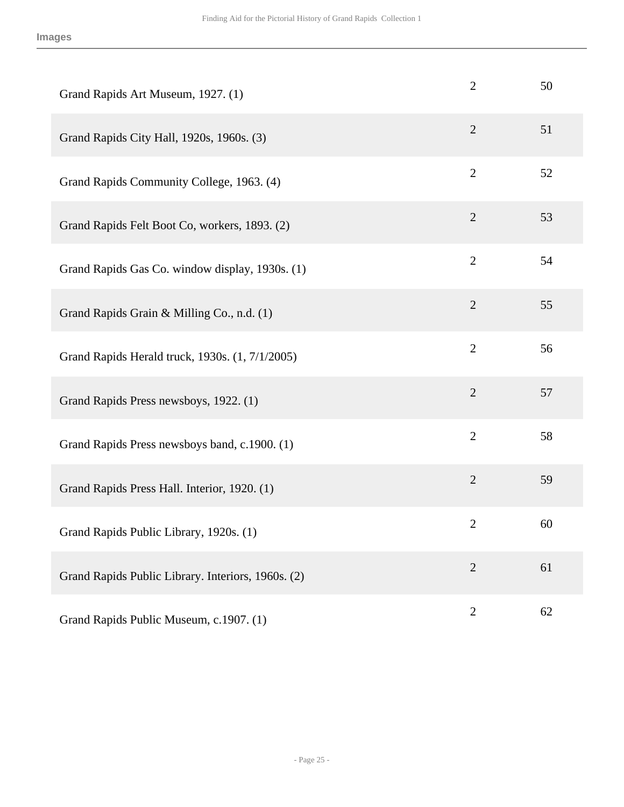| Grand Rapids Art Museum, 1927. (1)                 | $\overline{2}$ | 50 |
|----------------------------------------------------|----------------|----|
| Grand Rapids City Hall, 1920s, 1960s. (3)          | $\overline{2}$ | 51 |
| Grand Rapids Community College, 1963. (4)          | $\overline{2}$ | 52 |
| Grand Rapids Felt Boot Co, workers, 1893. (2)      | $\overline{2}$ | 53 |
| Grand Rapids Gas Co. window display, 1930s. (1)    | $\mathbf{2}$   | 54 |
| Grand Rapids Grain & Milling Co., n.d. (1)         | $\overline{2}$ | 55 |
| Grand Rapids Herald truck, 1930s. (1, 7/1/2005)    | $\overline{2}$ | 56 |
| Grand Rapids Press newsboys, 1922. (1)             | $\overline{2}$ | 57 |
| Grand Rapids Press newsboys band, c.1900. (1)      | $\overline{2}$ | 58 |
| Grand Rapids Press Hall. Interior, 1920. (1)       | $\overline{2}$ | 59 |
| Grand Rapids Public Library, 1920s. (1)            | $\mathbf{2}$   | 60 |
| Grand Rapids Public Library. Interiors, 1960s. (2) | $\overline{2}$ | 61 |
| Grand Rapids Public Museum, c.1907. (1)            | $\mathbf{2}$   | 62 |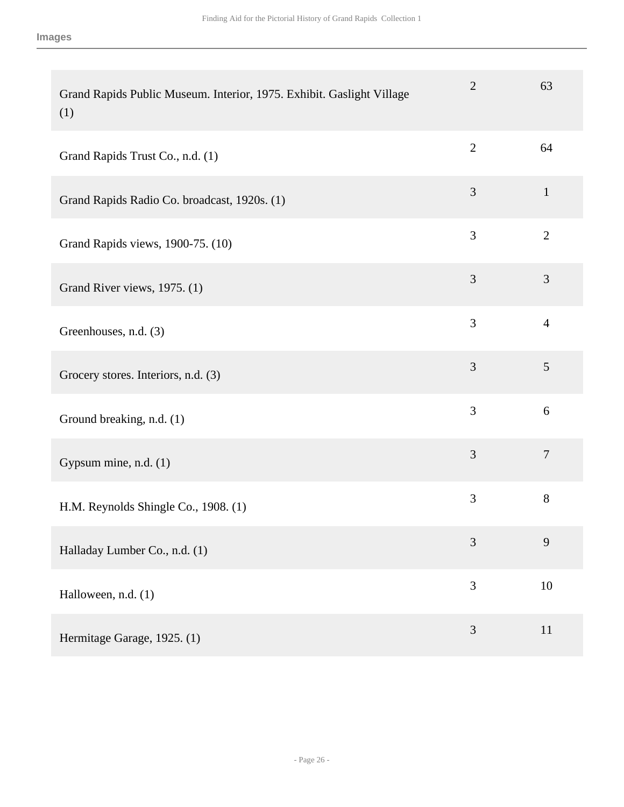| Grand Rapids Public Museum. Interior, 1975. Exhibit. Gaslight Village<br>(1) | $\overline{2}$ | 63             |
|------------------------------------------------------------------------------|----------------|----------------|
| Grand Rapids Trust Co., n.d. (1)                                             | $\overline{2}$ | 64             |
| Grand Rapids Radio Co. broadcast, 1920s. (1)                                 | 3              | $\mathbf{1}$   |
| Grand Rapids views, 1900-75. (10)                                            | 3              | $\overline{2}$ |
| Grand River views, 1975. (1)                                                 | 3              | $\mathfrak{Z}$ |
| Greenhouses, n.d. (3)                                                        | 3              | $\overline{4}$ |
| Grocery stores. Interiors, n.d. (3)                                          | 3              | $\mathfrak{S}$ |
| Ground breaking, n.d. (1)                                                    | 3              | 6              |
| Gypsum mine, n.d. (1)                                                        | 3              | $\overline{7}$ |
| H.M. Reynolds Shingle Co., 1908. (1)                                         | $\mathfrak{Z}$ | 8              |
| Halladay Lumber Co., n.d. (1)                                                | 3              | 9              |
| Halloween, n.d. (1)                                                          | 3              | 10             |
| Hermitage Garage, 1925. (1)                                                  | 3              | 11             |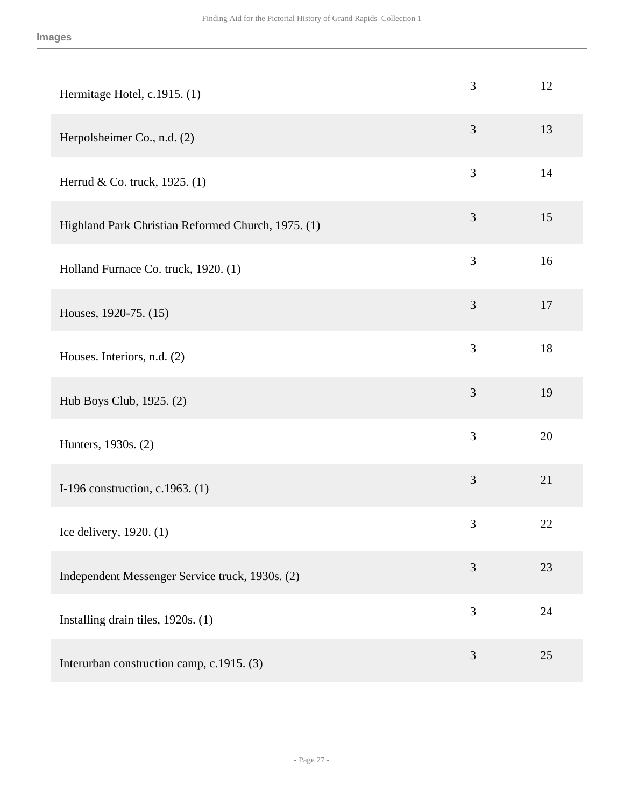| Hermitage Hotel, c.1915. (1)                       | 3              | 12 |
|----------------------------------------------------|----------------|----|
| Herpolsheimer Co., n.d. (2)                        | 3              | 13 |
| Herrud & Co. truck, 1925. (1)                      | 3              | 14 |
| Highland Park Christian Reformed Church, 1975. (1) | 3              | 15 |
| Holland Furnace Co. truck, 1920. (1)               | 3              | 16 |
| Houses, 1920-75. (15)                              | 3              | 17 |
| Houses. Interiors, n.d. (2)                        | 3              | 18 |
| Hub Boys Club, 1925. (2)                           | 3              | 19 |
| Hunters, 1930s. (2)                                | $\overline{3}$ | 20 |
| I-196 construction, c.1963. (1)                    | 3              | 21 |
| Ice delivery, 1920. (1)                            | 3              | 22 |
| Independent Messenger Service truck, 1930s. (2)    | 3              | 23 |
| Installing drain tiles, 1920s. (1)                 | 3              | 24 |
| Interurban construction camp, c.1915. (3)          | 3              | 25 |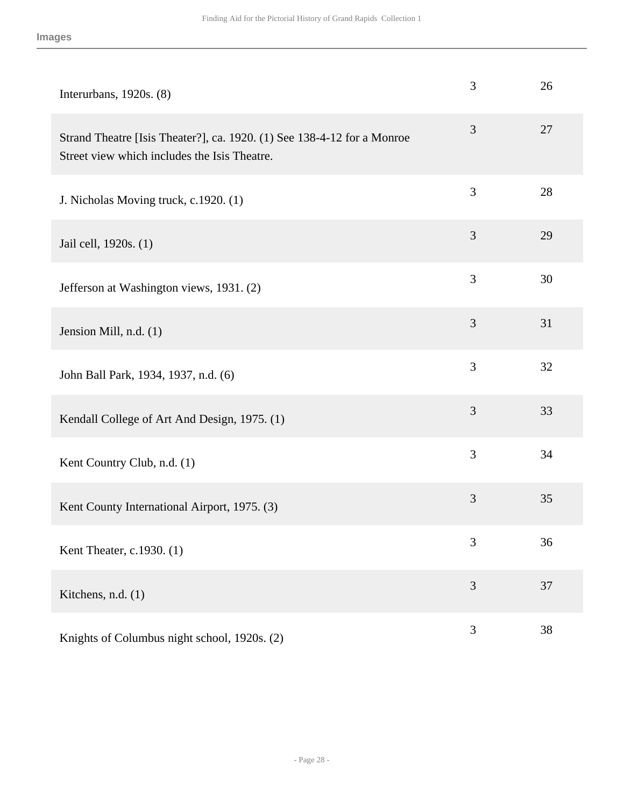| Interurbans, $1920s. (8)$                                                                                               | 3 | 26 |
|-------------------------------------------------------------------------------------------------------------------------|---|----|
| Strand Theatre [Isis Theater?], ca. 1920. (1) See 138-4-12 for a Monroe<br>Street view which includes the Isis Theatre. | 3 | 27 |
| J. Nicholas Moving truck, c.1920. (1)                                                                                   | 3 | 28 |
| Jail cell, 1920s. (1)                                                                                                   | 3 | 29 |
| Jefferson at Washington views, 1931. (2)                                                                                | 3 | 30 |
| Jension Mill, n.d. (1)                                                                                                  | 3 | 31 |
| John Ball Park, 1934, 1937, n.d. (6)                                                                                    | 3 | 32 |
| Kendall College of Art And Design, 1975. (1)                                                                            | 3 | 33 |
| Kent Country Club, n.d. (1)                                                                                             | 3 | 34 |
| Kent County International Airport, 1975. (3)                                                                            | 3 | 35 |
| Kent Theater, c.1930. (1)                                                                                               | 3 | 36 |
| Kitchens, n.d. (1)                                                                                                      | 3 | 37 |
| Knights of Columbus night school, 1920s. (2)                                                                            | 3 | 38 |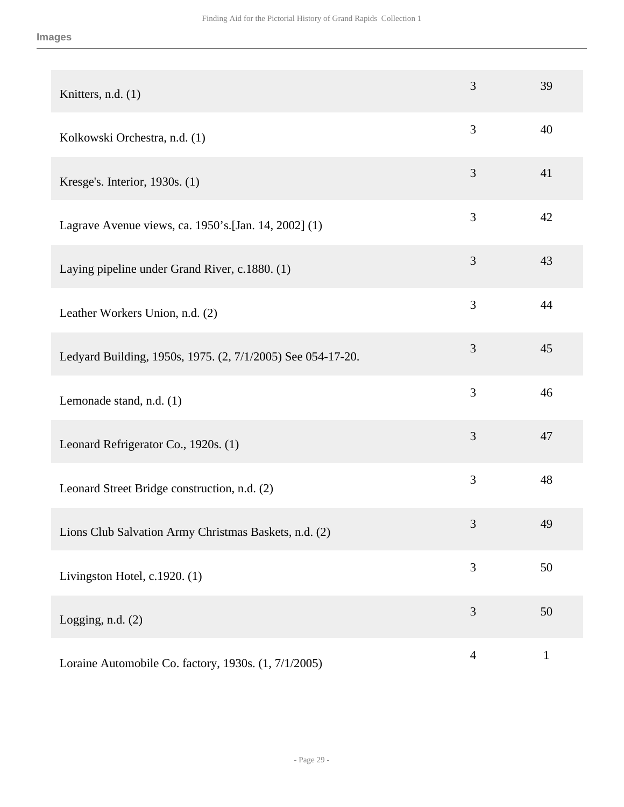| Knitters, n.d. (1)                                          | 3              | 39           |
|-------------------------------------------------------------|----------------|--------------|
| Kolkowski Orchestra, n.d. (1)                               | 3              | 40           |
| Kresge's. Interior, 1930s. (1)                              | 3              | 41           |
| Lagrave Avenue views, ca. 1950's. [Jan. 14, 2002] (1)       | 3              | 42           |
| Laying pipeline under Grand River, c.1880. (1)              | 3              | 43           |
| Leather Workers Union, n.d. (2)                             | 3              | 44           |
| Ledyard Building, 1950s, 1975. (2, 7/1/2005) See 054-17-20. | 3              | 45           |
| Lemonade stand, n.d. (1)                                    | 3              | 46           |
| Leonard Refrigerator Co., 1920s. (1)                        | 3              | 47           |
| Leonard Street Bridge construction, n.d. (2)                | 3              | 48           |
| Lions Club Salvation Army Christmas Baskets, n.d. (2)       | 3              | 49           |
| Livingston Hotel, c.1920. (1)                               | 3              | 50           |
| Logging, n.d. $(2)$                                         | 3              | 50           |
| Loraine Automobile Co. factory, 1930s. (1, 7/1/2005)        | $\overline{4}$ | $\mathbf{1}$ |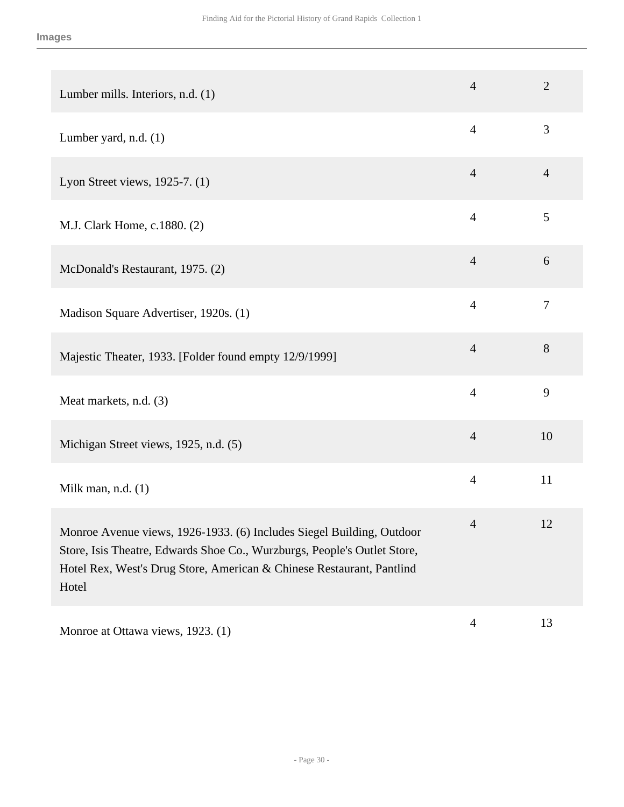| Lumber mills. Interiors, n.d. (1)                                                                                                                                                                                                   | $\overline{4}$ | $\overline{2}$ |
|-------------------------------------------------------------------------------------------------------------------------------------------------------------------------------------------------------------------------------------|----------------|----------------|
| Lumber yard, n.d. (1)                                                                                                                                                                                                               | $\overline{4}$ | 3              |
| Lyon Street views, 1925-7. (1)                                                                                                                                                                                                      | $\overline{4}$ | $\overline{4}$ |
| M.J. Clark Home, c.1880. (2)                                                                                                                                                                                                        | $\overline{4}$ | 5              |
| McDonald's Restaurant, 1975. (2)                                                                                                                                                                                                    | $\overline{4}$ | 6              |
| Madison Square Advertiser, 1920s. (1)                                                                                                                                                                                               | $\overline{4}$ | $\tau$         |
| Majestic Theater, 1933. [Folder found empty 12/9/1999]                                                                                                                                                                              | $\overline{4}$ | 8              |
| Meat markets, n.d. (3)                                                                                                                                                                                                              | $\overline{4}$ | 9              |
| Michigan Street views, 1925, n.d. (5)                                                                                                                                                                                               | $\overline{4}$ | 10             |
| Milk man, n.d. $(1)$                                                                                                                                                                                                                | $\overline{4}$ | 11             |
| Monroe Avenue views, 1926-1933. (6) Includes Siegel Building, Outdoor<br>Store, Isis Theatre, Edwards Shoe Co., Wurzburgs, People's Outlet Store,<br>Hotel Rex, West's Drug Store, American & Chinese Restaurant, Pantlind<br>Hotel | $\overline{4}$ | 12             |
| Monroe at Ottawa views, 1923. (1)                                                                                                                                                                                                   | $\overline{4}$ | 13             |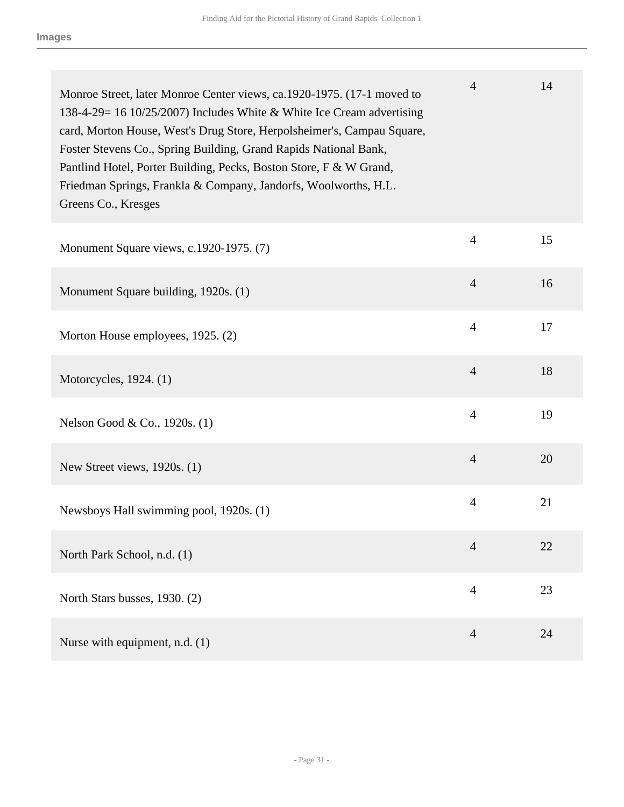| Monroe Street, later Monroe Center views, ca.1920-1975. (17-1 moved to<br>138-4-29= 16 10/25/2007) Includes White & White Ice Cream advertising<br>card, Morton House, West's Drug Store, Herpolsheimer's, Campau Square,<br>Foster Stevens Co., Spring Building, Grand Rapids National Bank,<br>Pantlind Hotel, Porter Building, Pecks, Boston Store, F & W Grand,<br>Friedman Springs, Frankla & Company, Jandorfs, Woolworths, H.L.<br>Greens Co., Kresges | $\overline{4}$ | 14 |
|---------------------------------------------------------------------------------------------------------------------------------------------------------------------------------------------------------------------------------------------------------------------------------------------------------------------------------------------------------------------------------------------------------------------------------------------------------------|----------------|----|
| Monument Square views, c.1920-1975. (7)                                                                                                                                                                                                                                                                                                                                                                                                                       | $\overline{4}$ | 15 |
| Monument Square building, 1920s. (1)                                                                                                                                                                                                                                                                                                                                                                                                                          | $\overline{4}$ | 16 |
| Morton House employees, 1925. (2)                                                                                                                                                                                                                                                                                                                                                                                                                             | $\overline{4}$ | 17 |
| Motorcycles, 1924. (1)                                                                                                                                                                                                                                                                                                                                                                                                                                        | $\overline{4}$ | 18 |
| Nelson Good & Co., 1920s. (1)                                                                                                                                                                                                                                                                                                                                                                                                                                 | $\overline{4}$ | 19 |
| New Street views, 1920s. (1)                                                                                                                                                                                                                                                                                                                                                                                                                                  | $\overline{4}$ | 20 |
| Newsboys Hall swimming pool, 1920s. (1)                                                                                                                                                                                                                                                                                                                                                                                                                       | $\overline{4}$ | 21 |
| North Park School, n.d. (1)                                                                                                                                                                                                                                                                                                                                                                                                                                   | $\overline{4}$ | 22 |
| North Stars busses, 1930. (2)                                                                                                                                                                                                                                                                                                                                                                                                                                 | $\overline{4}$ | 23 |
| Nurse with equipment, n.d. (1)                                                                                                                                                                                                                                                                                                                                                                                                                                | $\overline{4}$ | 24 |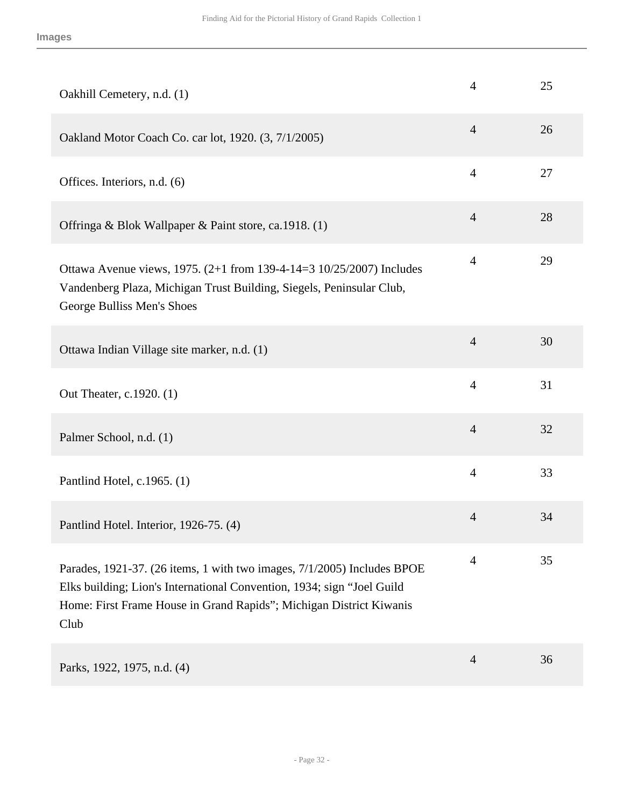| Oakhill Cemetery, n.d. (1)                                                                                                                                                                                                        | $\overline{4}$ | 25 |
|-----------------------------------------------------------------------------------------------------------------------------------------------------------------------------------------------------------------------------------|----------------|----|
| Oakland Motor Coach Co. car lot, 1920. (3, 7/1/2005)                                                                                                                                                                              | $\overline{4}$ | 26 |
| Offices. Interiors, n.d. (6)                                                                                                                                                                                                      | $\overline{4}$ | 27 |
| Offringa & Blok Wallpaper & Paint store, ca.1918. (1)                                                                                                                                                                             | $\overline{4}$ | 28 |
| Ottawa Avenue views, 1975. (2+1 from 139-4-14=3 10/25/2007) Includes<br>Vandenberg Plaza, Michigan Trust Building, Siegels, Peninsular Club,<br>George Bulliss Men's Shoes                                                        | $\overline{4}$ | 29 |
| Ottawa Indian Village site marker, n.d. (1)                                                                                                                                                                                       | $\overline{4}$ | 30 |
| Out Theater, c.1920. (1)                                                                                                                                                                                                          | $\overline{4}$ | 31 |
| Palmer School, n.d. (1)                                                                                                                                                                                                           | $\overline{4}$ | 32 |
| Pantlind Hotel, c.1965. (1)                                                                                                                                                                                                       | $\overline{4}$ | 33 |
| Pantlind Hotel. Interior, 1926-75. (4)                                                                                                                                                                                            | $\overline{4}$ | 34 |
| Parades, 1921-37. (26 items, 1 with two images, 7/1/2005) Includes BPOE<br>Elks building; Lion's International Convention, 1934; sign "Joel Guild"<br>Home: First Frame House in Grand Rapids"; Michigan District Kiwanis<br>Club | $\overline{4}$ | 35 |
| Parks, 1922, 1975, n.d. (4)                                                                                                                                                                                                       | $\overline{4}$ | 36 |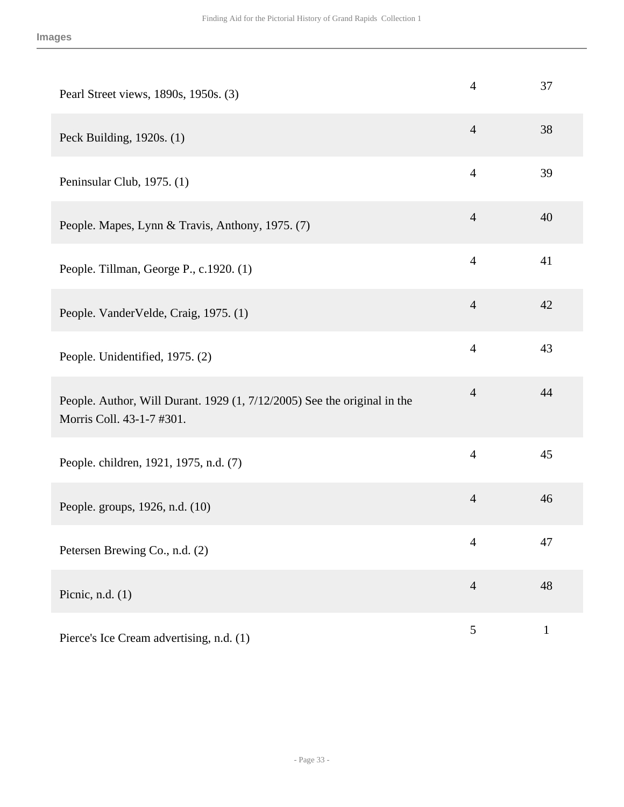| Pearl Street views, 1890s, 1950s. (3)                                                                 | $\overline{4}$ | 37           |
|-------------------------------------------------------------------------------------------------------|----------------|--------------|
| Peck Building, 1920s. (1)                                                                             | $\overline{4}$ | 38           |
| Peninsular Club, 1975. (1)                                                                            | $\overline{4}$ | 39           |
| People. Mapes, Lynn & Travis, Anthony, 1975. (7)                                                      | $\overline{4}$ | 40           |
| People. Tillman, George P., c.1920. (1)                                                               | $\overline{4}$ | 41           |
| People. VanderVelde, Craig, 1975. (1)                                                                 | $\overline{4}$ | 42           |
| People. Unidentified, 1975. (2)                                                                       | $\overline{4}$ | 43           |
| People. Author, Will Durant. 1929 (1, 7/12/2005) See the original in the<br>Morris Coll. 43-1-7 #301. | $\overline{4}$ | 44           |
| People. children, 1921, 1975, n.d. (7)                                                                | $\overline{4}$ | 45           |
| People. groups, 1926, n.d. (10)                                                                       | $\overline{4}$ | 46           |
| Petersen Brewing Co., n.d. (2)                                                                        | 4              | 47           |
| Picnic, n.d. $(1)$                                                                                    | $\overline{4}$ | 48           |
| Pierce's Ice Cream advertising, n.d. (1)                                                              | 5              | $\mathbf{1}$ |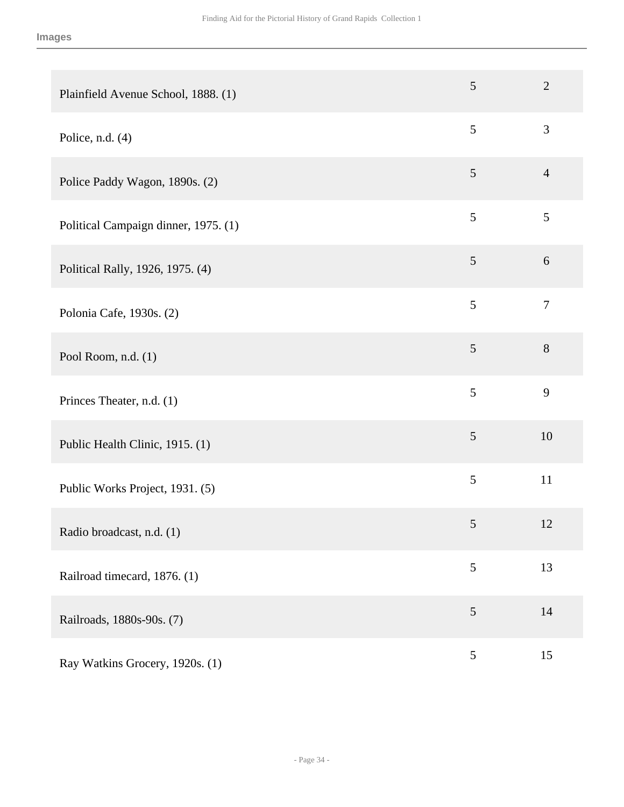| Plainfield Avenue School, 1888. (1)  | 5              | $\overline{2}$   |
|--------------------------------------|----------------|------------------|
| Police, n.d. $(4)$                   | 5              | 3                |
| Police Paddy Wagon, 1890s. (2)       | 5              | $\overline{4}$   |
| Political Campaign dinner, 1975. (1) | 5              | 5                |
| Political Rally, 1926, 1975. (4)     | 5              | 6                |
| Polonia Cafe, 1930s. (2)             | 5              | $\boldsymbol{7}$ |
| Pool Room, n.d. (1)                  | $\mathfrak{S}$ | 8                |
| Princes Theater, n.d. (1)            | 5              | 9                |
| Public Health Clinic, 1915. (1)      | $\mathfrak{S}$ | 10               |
| Public Works Project, 1931. (5)      | 5              | 11               |
| Radio broadcast, n.d. (1)            | 5              | 12               |
| Railroad timecard, 1876. (1)         | $\mathfrak{S}$ | 13               |
| Railroads, 1880s-90s. (7)            | $\sqrt{5}$     | 14               |
| Ray Watkins Grocery, 1920s. (1)      | $\sqrt{5}$     | 15               |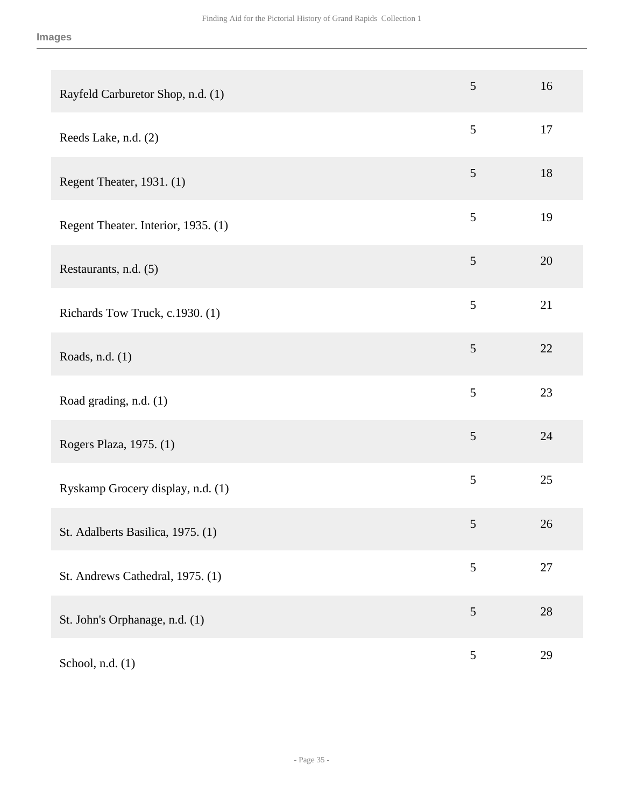| Rayfeld Carburetor Shop, n.d. (1)   | $\mathfrak{S}$  | 16 |
|-------------------------------------|-----------------|----|
| Reeds Lake, n.d. (2)                | 5               | 17 |
| Regent Theater, 1931. (1)           | $\mathfrak{S}$  | 18 |
| Regent Theater. Interior, 1935. (1) | $5\overline{)}$ | 19 |
| Restaurants, n.d. (5)               | 5               | 20 |
| Richards Tow Truck, c.1930. (1)     | 5               | 21 |
| Roads, n.d. (1)                     | 5               | 22 |
| Road grading, n.d. (1)              | 5               | 23 |
| Rogers Plaza, 1975. (1)             | 5               | 24 |
| Ryskamp Grocery display, n.d. (1)   | 5               | 25 |
| St. Adalberts Basilica, 1975. (1)   | $\sqrt{5}$      | 26 |
| St. Andrews Cathedral, 1975. (1)    | 5               | 27 |
| St. John's Orphanage, n.d. (1)      | 5               | 28 |
| School, n.d. (1)                    | $\mathfrak{S}$  | 29 |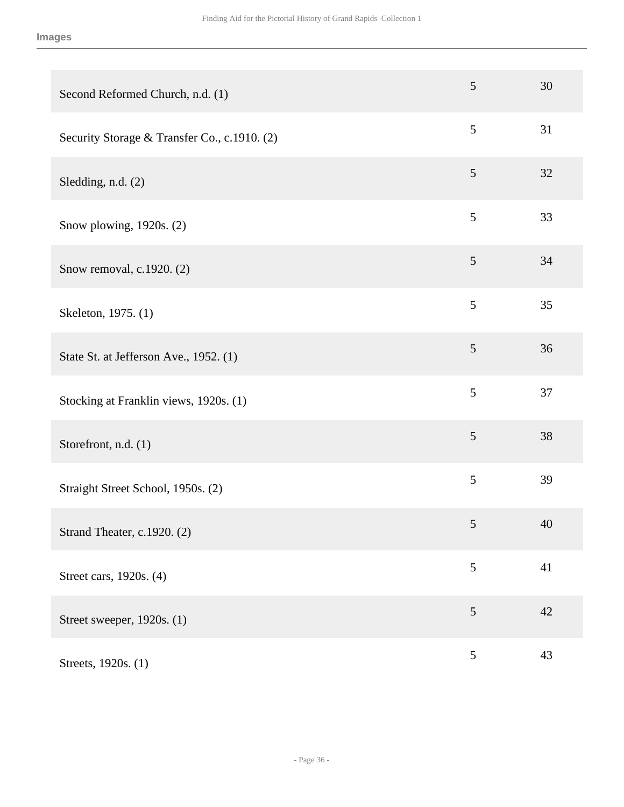| Second Reformed Church, n.d. (1)             | $\overline{5}$ | 30 |
|----------------------------------------------|----------------|----|
| Security Storage & Transfer Co., c.1910. (2) | $\mathfrak{S}$ | 31 |
| Sledding, n.d. (2)                           | 5              | 32 |
| Snow plowing, 1920s. (2)                     | 5              | 33 |
| Snow removal, c.1920. (2)                    | $\mathfrak{S}$ | 34 |
| Skeleton, 1975. (1)                          | 5              | 35 |
| State St. at Jefferson Ave., 1952. (1)       | $\mathfrak{S}$ | 36 |
| Stocking at Franklin views, 1920s. (1)       | 5              | 37 |
| Storefront, n.d. (1)                         | $\mathfrak{S}$ | 38 |
| Straight Street School, 1950s. (2)           | 5              | 39 |
| Strand Theater, c.1920. (2)                  | $\mathfrak s$  | 40 |
| Street cars, 1920s. (4)                      | 5              | 41 |
| Street sweeper, 1920s. (1)                   | 5              | 42 |
| Streets, 1920s. (1)                          | $\sqrt{5}$     | 43 |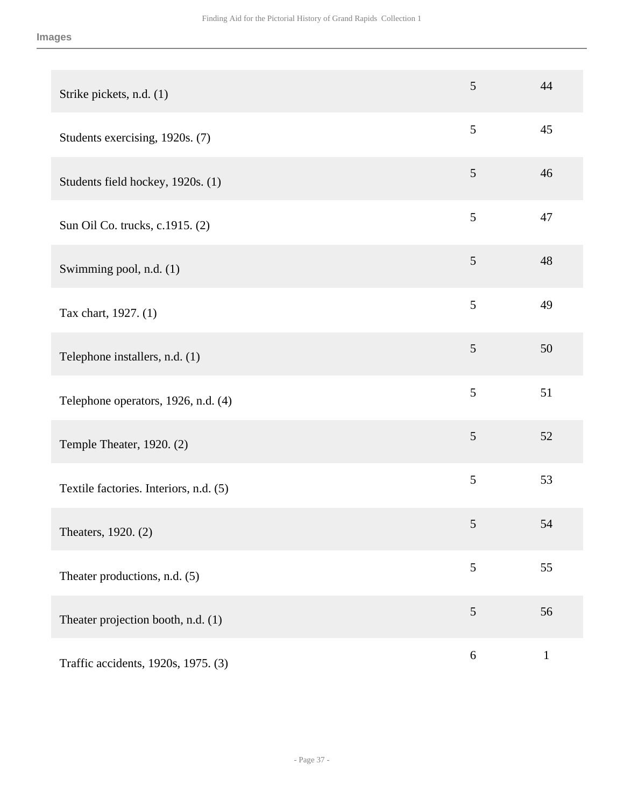| Strike pickets, n.d. (1)               | 5              | 44           |
|----------------------------------------|----------------|--------------|
| Students exercising, 1920s. (7)        | 5              | 45           |
| Students field hockey, 1920s. (1)      | 5              | 46           |
| Sun Oil Co. trucks, c.1915. (2)        | 5              | 47           |
| Swimming pool, n.d. (1)                | $\mathfrak{S}$ | 48           |
| Tax chart, 1927. (1)                   | 5              | 49           |
| Telephone installers, n.d. (1)         | 5              | 50           |
| Telephone operators, 1926, n.d. (4)    | 5              | 51           |
| Temple Theater, 1920. (2)              | 5              | 52           |
| Textile factories. Interiors, n.d. (5) | 5              | 53           |
| Theaters, 1920. (2)                    | 5              | 54           |
| Theater productions, n.d. (5)          | 5              | 55           |
| Theater projection booth, n.d. (1)     | $\mathfrak{S}$ | 56           |
| Traffic accidents, 1920s, 1975. (3)    | $\sqrt{6}$     | $\mathbf{1}$ |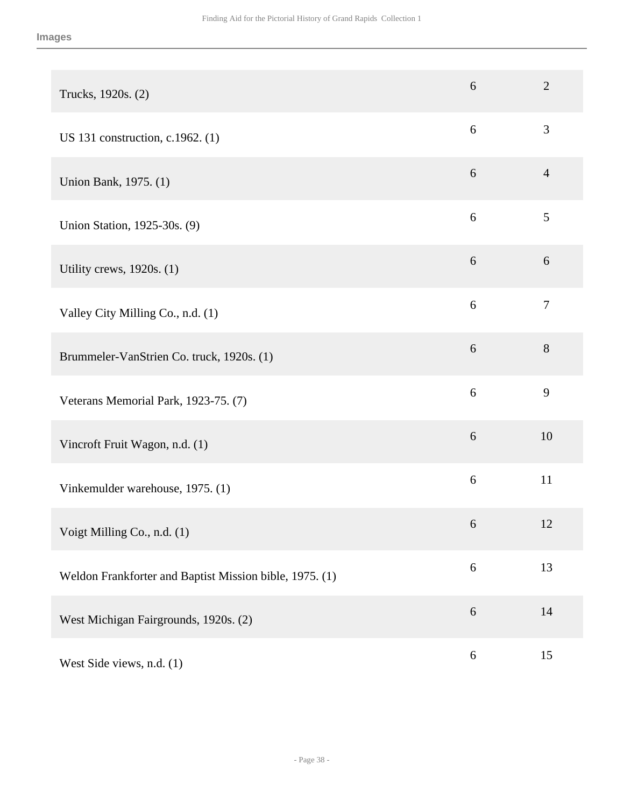| Trucks, 1920s. (2)                                      | 6          | $\overline{2}$ |
|---------------------------------------------------------|------------|----------------|
| US 131 construction, c.1962. (1)                        | 6          | 3              |
| Union Bank, 1975. (1)                                   | 6          | $\overline{4}$ |
| Union Station, 1925-30s. (9)                            | 6          | 5              |
| Utility crews, 1920s. (1)                               | 6          | 6              |
| Valley City Milling Co., n.d. (1)                       | 6          | $\overline{7}$ |
| Brummeler-VanStrien Co. truck, 1920s. (1)               | 6          | 8              |
| Veterans Memorial Park, 1923-75. (7)                    | 6          | 9              |
| Vincroft Fruit Wagon, n.d. (1)                          | 6          | 10             |
| Vinkemulder warehouse, 1975. (1)                        | 6          | 11             |
| Voigt Milling Co., n.d. (1)                             | 6          | 12             |
| Weldon Frankforter and Baptist Mission bible, 1975. (1) | $\sqrt{6}$ | 13             |
| West Michigan Fairgrounds, 1920s. (2)                   | $6\,$      | 14             |
| West Side views, n.d. (1)                               | $\sqrt{6}$ | 15             |